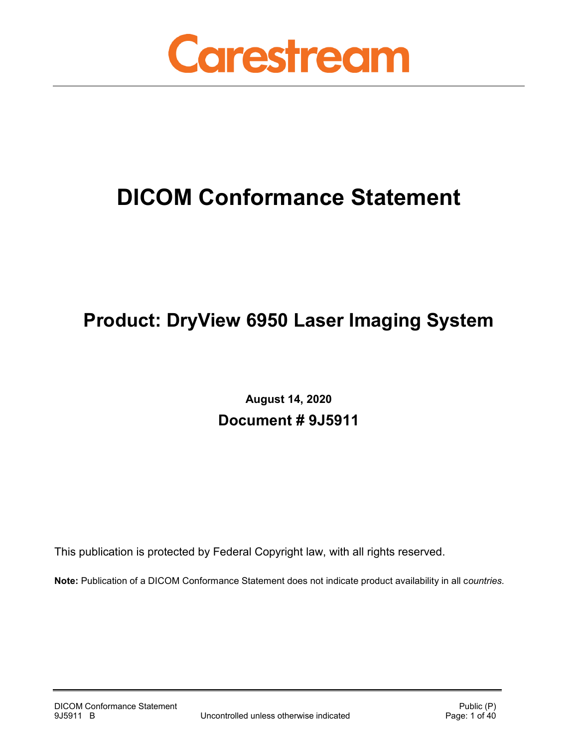

# **DICOM Conformance Statement**

## **Product: DryView 6950 Laser Imaging System**

**August 14, 2020 Document # 9J5911**

This publication is protected by Federal Copyright law, with all rights reserved.

**Note:** Publication of a DICOM Conformance Statement does not indicate product availability in all c*ountries.*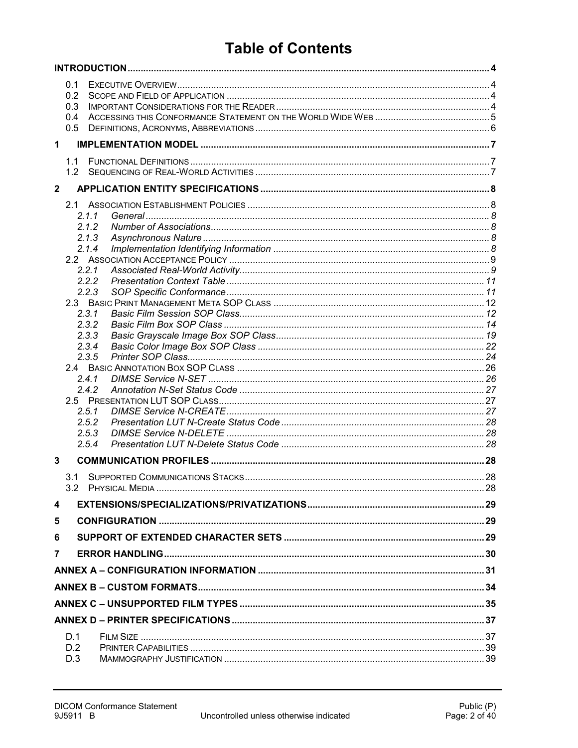## **Table of Contents**

|              | 0.1<br>0.2<br>0.3<br>0.4<br>0.5 |                |  |
|--------------|---------------------------------|----------------|--|
| $\mathbf 1$  |                                 |                |  |
|              | 1.1                             |                |  |
|              |                                 |                |  |
| $\mathbf{2}$ |                                 |                |  |
|              |                                 |                |  |
|              |                                 | 2.1.1          |  |
|              |                                 | 2.1.2          |  |
|              |                                 | 2.1.3          |  |
|              |                                 | 2.1.4          |  |
|              |                                 |                |  |
|              |                                 | 2.2.1<br>2.2.2 |  |
|              |                                 | 2.2.3          |  |
|              |                                 |                |  |
|              |                                 | 2.3.1          |  |
|              |                                 | 2.3.2          |  |
|              |                                 | 2.3.3          |  |
|              |                                 | 2.3.4          |  |
|              |                                 | 2.3.5          |  |
|              |                                 |                |  |
|              |                                 | 2.4.1          |  |
|              |                                 | 2.4.2          |  |
|              |                                 |                |  |
|              |                                 | 2.5.1          |  |
|              |                                 | 2.5.2          |  |
|              |                                 | 2.5.3<br>2.5.4 |  |
|              |                                 |                |  |
| 3            |                                 |                |  |
|              |                                 |                |  |
|              |                                 |                |  |
| 4            |                                 |                |  |
| 5            |                                 |                |  |
| 6            |                                 |                |  |
| 7            |                                 |                |  |
|              |                                 |                |  |
|              |                                 |                |  |
|              |                                 |                |  |
|              |                                 |                |  |
|              | D.1                             |                |  |
|              | D.2                             |                |  |
|              | D.3                             |                |  |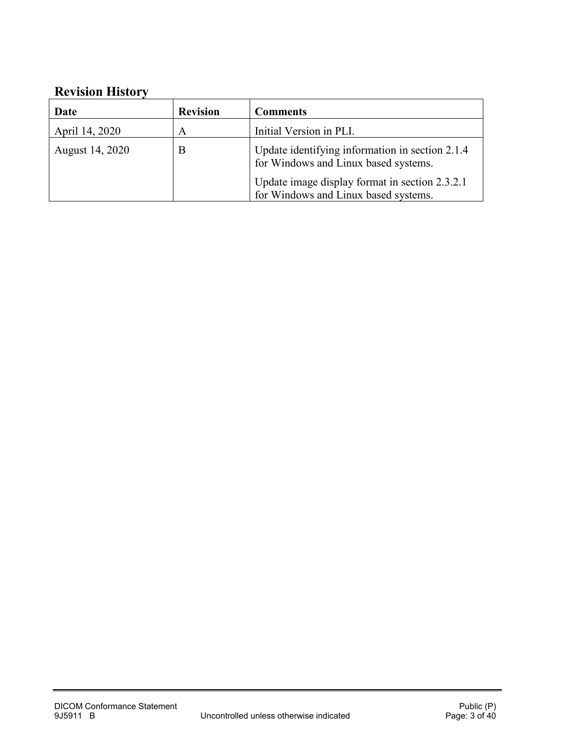## **Revision History**

| Date            | <b>Revision</b> | <b>Comments</b>                                                                         |
|-----------------|-----------------|-----------------------------------------------------------------------------------------|
| April 14, 2020  | A               | Initial Version in PLI.                                                                 |
| August 14, 2020 | B               | Update identifying information in section 2.1.4<br>for Windows and Linux based systems. |
|                 |                 | Update image display format in section 2.3.2.1<br>for Windows and Linux based systems.  |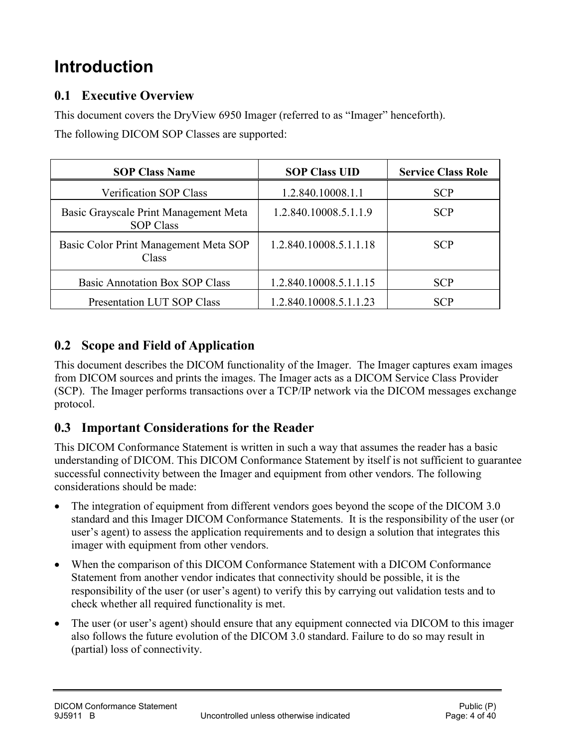## <span id="page-3-0"></span>**Introduction**

### <span id="page-3-1"></span>**0.1 Executive Overview**

This document covers the DryView 6950 Imager (referred to as "Imager" henceforth).

The following DICOM SOP Classes are supported:

| <b>SOP Class Name</b>                                     | <b>SOP Class UID</b>   | <b>Service Class Role</b> |
|-----------------------------------------------------------|------------------------|---------------------------|
| <b>Verification SOP Class</b>                             | 1.2.840.10008.1.1      | <b>SCP</b>                |
| Basic Grayscale Print Management Meta<br><b>SOP Class</b> | 1.2.840.10008.5.1.1.9  | <b>SCP</b>                |
| Basic Color Print Management Meta SOP<br>Class            | 1.2.840.10008.5.1.1.18 | <b>SCP</b>                |
| <b>Basic Annotation Box SOP Class</b>                     | 1.2.840.10008.5.1.1.15 | <b>SCP</b>                |
| Presentation LUT SOP Class                                | 1.2.840.10008.5.1.1.23 | <b>SCP</b>                |

## <span id="page-3-2"></span>**0.2 Scope and Field of Application**

This document describes the DICOM functionality of the Imager. The Imager captures exam images from DICOM sources and prints the images. The Imager acts as a DICOM Service Class Provider (SCP). The Imager performs transactions over a TCP/IP network via the DICOM messages exchange protocol.

## <span id="page-3-3"></span>**0.3 Important Considerations for the Reader**

This DICOM Conformance Statement is written in such a way that assumes the reader has a basic understanding of DICOM. This DICOM Conformance Statement by itself is not sufficient to guarantee successful connectivity between the Imager and equipment from other vendors. The following considerations should be made:

- The integration of equipment from different vendors goes beyond the scope of the DICOM 3.0 standard and this Imager DICOM Conformance Statements. It is the responsibility of the user (or user's agent) to assess the application requirements and to design a solution that integrates this imager with equipment from other vendors.
- When the comparison of this DICOM Conformance Statement with a DICOM Conformance Statement from another vendor indicates that connectivity should be possible, it is the responsibility of the user (or user's agent) to verify this by carrying out validation tests and to check whether all required functionality is met.
- The user (or user's agent) should ensure that any equipment connected via DICOM to this imager also follows the future evolution of the DICOM 3.0 standard. Failure to do so may result in (partial) loss of connectivity.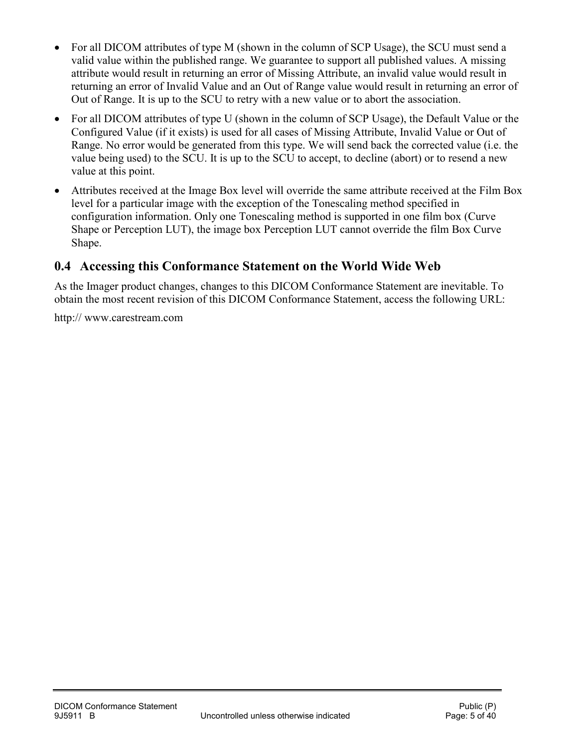- For all DICOM attributes of type M (shown in the column of SCP Usage), the SCU must send a valid value within the published range. We guarantee to support all published values. A missing attribute would result in returning an error of Missing Attribute, an invalid value would result in returning an error of Invalid Value and an Out of Range value would result in returning an error of Out of Range. It is up to the SCU to retry with a new value or to abort the association.
- For all DICOM attributes of type U (shown in the column of SCP Usage), the Default Value or the Configured Value (if it exists) is used for all cases of Missing Attribute, Invalid Value or Out of Range. No error would be generated from this type. We will send back the corrected value (i.e. the value being used) to the SCU. It is up to the SCU to accept, to decline (abort) or to resend a new value at this point.
- Attributes received at the Image Box level will override the same attribute received at the Film Box level for a particular image with the exception of the Tonescaling method specified in configuration information. Only one Tonescaling method is supported in one film box (Curve Shape or Perception LUT), the image box Perception LUT cannot override the film Box Curve Shape.

## <span id="page-4-0"></span>**0.4 Accessing this Conformance Statement on the World Wide Web**

As the Imager product changes, changes to this DICOM Conformance Statement are inevitable. To obtain the most recent revision of this DICOM Conformance Statement, access the following URL:

http:// www.carestream.com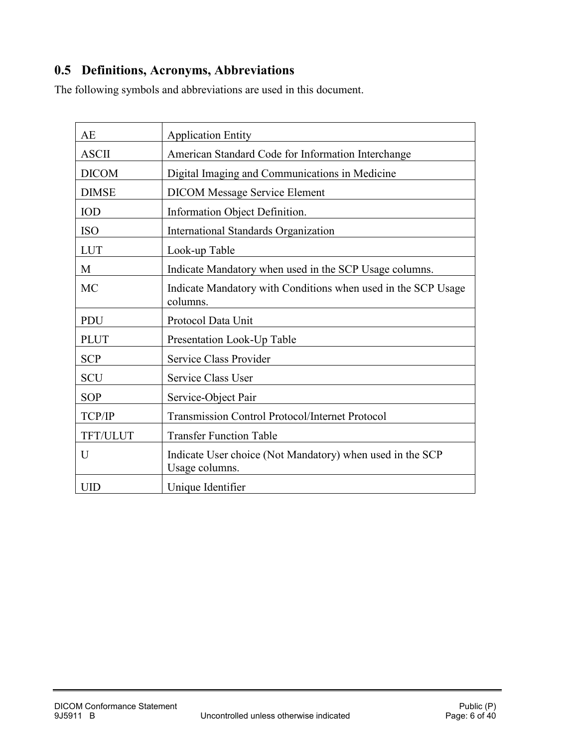## <span id="page-5-0"></span>**0.5 Definitions, Acronyms, Abbreviations**

The following symbols and abbreviations are used in this document.

| <b>AE</b>    | <b>Application Entity</b>                                                   |
|--------------|-----------------------------------------------------------------------------|
| <b>ASCII</b> | American Standard Code for Information Interchange                          |
| <b>DICOM</b> | Digital Imaging and Communications in Medicine                              |
| <b>DIMSE</b> | <b>DICOM Message Service Element</b>                                        |
| <b>IOD</b>   | Information Object Definition.                                              |
| <b>ISO</b>   | International Standards Organization                                        |
| <b>LUT</b>   | Look-up Table                                                               |
| M            | Indicate Mandatory when used in the SCP Usage columns.                      |
| MC           | Indicate Mandatory with Conditions when used in the SCP Usage<br>columns.   |
| PDU          | Protocol Data Unit                                                          |
| <b>PLUT</b>  | Presentation Look-Up Table                                                  |
| <b>SCP</b>   | Service Class Provider                                                      |
| <b>SCU</b>   | Service Class User                                                          |
| <b>SOP</b>   | Service-Object Pair                                                         |
| TCP/IP       | Transmission Control Protocol/Internet Protocol                             |
| TFT/ULUT     | <b>Transfer Function Table</b>                                              |
| U            | Indicate User choice (Not Mandatory) when used in the SCP<br>Usage columns. |
| <b>UID</b>   | Unique Identifier                                                           |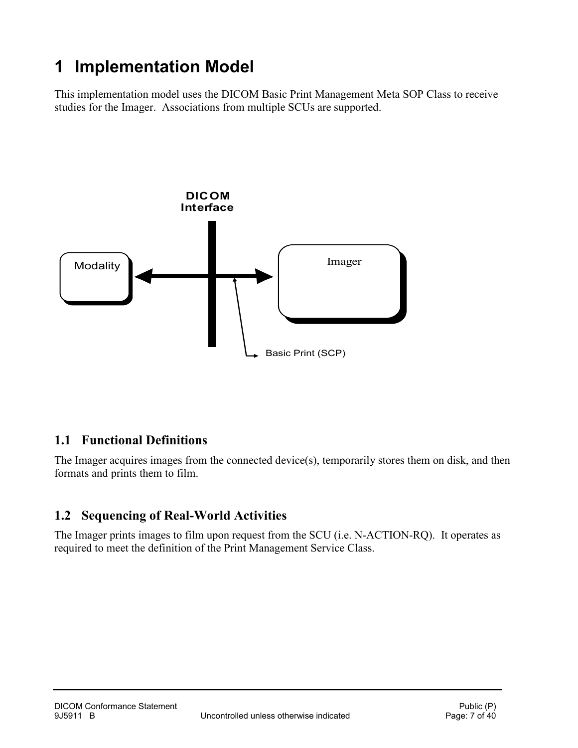## <span id="page-6-0"></span>**1 Implementation Model**

This implementation model uses the DICOM Basic Print Management Meta SOP Class to receive studies for the Imager. Associations from multiple SCUs are supported.



## <span id="page-6-1"></span>**1.1 Functional Definitions**

The Imager acquires images from the connected device(s), temporarily stores them on disk, and then formats and prints them to film.

## <span id="page-6-2"></span>**1.2 Sequencing of Real-World Activities**

The Imager prints images to film upon request from the SCU (i.e. N-ACTION-RQ). It operates as required to meet the definition of the Print Management Service Class.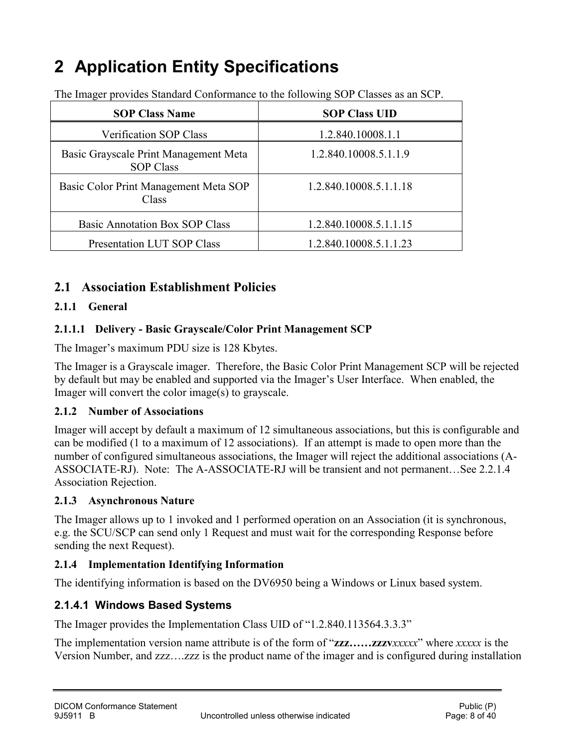## <span id="page-7-0"></span>**2 Application Entity Specifications**

The Imager provides Standard Conformance to the following SOP Classes as an SCP.

| <b>SOP Class Name</b>                                     | <b>SOP Class UID</b>   |
|-----------------------------------------------------------|------------------------|
| Verification SOP Class                                    | 1.2.840.10008.1.1      |
| Basic Grayscale Print Management Meta<br><b>SOP Class</b> | 1.2.840.10008.5.1.1.9  |
| Basic Color Print Management Meta SOP<br>Class            | 1.2.840.10008.5.1.1.18 |
| <b>Basic Annotation Box SOP Class</b>                     | 1.2.840.10008.5.1.1.15 |
| Presentation LUT SOP Class                                | 1.2.840.10008.5.1.1.23 |

### <span id="page-7-1"></span>**2.1 Association Establishment Policies**

#### <span id="page-7-2"></span>**2.1.1 General**

#### **2.1.1.1 Delivery - Basic Grayscale/Color Print Management SCP**

The Imager's maximum PDU size is 128 Kbytes.

The Imager is a Grayscale imager. Therefore, the Basic Color Print Management SCP will be rejected by default but may be enabled and supported via the Imager's User Interface. When enabled, the Imager will convert the color image(s) to grayscale.

#### <span id="page-7-3"></span>**2.1.2 Number of Associations**

Imager will accept by default a maximum of 12 simultaneous associations, but this is configurable and can be modified (1 to a maximum of 12 associations). If an attempt is made to open more than the number of configured simultaneous associations, the Imager will reject the additional associations (A-ASSOCIATE-RJ). Note: The A-ASSOCIATE-RJ will be transient and not permanent…See [2.2.1.4](#page-9-0) [Association Rejection.](#page-9-0)

#### <span id="page-7-4"></span>**2.1.3 Asynchronous Nature**

The Imager allows up to 1 invoked and 1 performed operation on an Association (it is synchronous, e.g. the SCU/SCP can send only 1 Request and must wait for the corresponding Response before sending the next Request).

#### <span id="page-7-5"></span>**2.1.4 Implementation Identifying Information**

The identifying information is based on the DV6950 being a Windows or Linux based system.

#### **2.1.4.1 Windows Based Systems**

The Imager provides the Implementation Class UID of "1.2.840.113564.3.3.3"

The implementation version name attribute is of the form of "**zzz……zzzv***xxxxx*" where *xxxxx* is the Version Number, and zzz….zzz is the product name of the imager and is configured during installation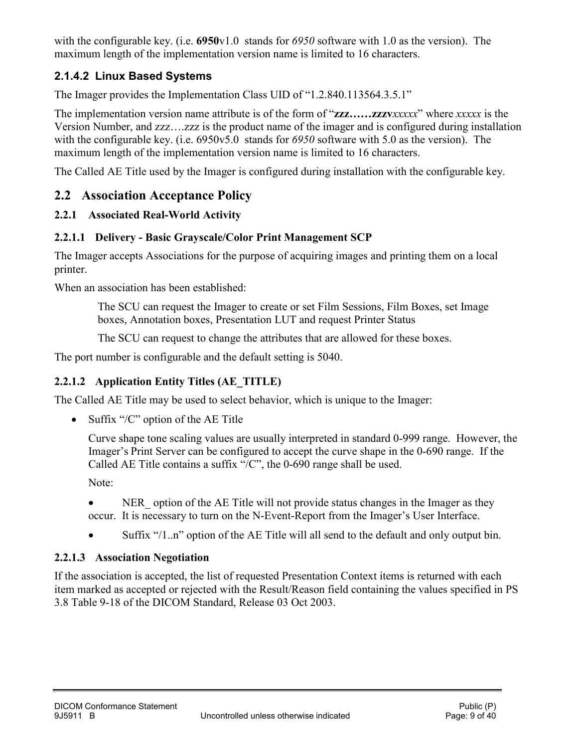with the configurable key. (i.e. **6950**v1.0 stands for *6950* software with 1.0 as the version). The maximum length of the implementation version name is limited to 16 characters.

## **2.1.4.2 Linux Based Systems**

The Imager provides the Implementation Class UID of "1.2.840.113564.3.5.1"

The implementation version name attribute is of the form of "**zzz……zzzv***xxxxx*" where *xxxxx* is the Version Number, and zzz….zzz is the product name of the imager and is configured during installation with the configurable key. (i.e. 6950v5.0 stands for *6950* software with 5.0 as the version). The maximum length of the implementation version name is limited to 16 characters.

The Called AE Title used by the Imager is configured during installation with the configurable key.

### <span id="page-8-0"></span>**2.2 Association Acceptance Policy**

### <span id="page-8-1"></span>**2.2.1 Associated Real-World Activity**

### **2.2.1.1 Delivery - Basic Grayscale/Color Print Management SCP**

The Imager accepts Associations for the purpose of acquiring images and printing them on a local printer.

When an association has been established:

The SCU can request the Imager to create or set Film Sessions, Film Boxes, set Image boxes, Annotation boxes, Presentation LUT and request Printer Status

The SCU can request to change the attributes that are allowed for these boxes.

The port number is configurable and the default setting is 5040.

### **2.2.1.2 Application Entity Titles (AE\_TITLE)**

The Called AE Title may be used to select behavior, which is unique to the Imager:

• Suffix "/C" option of the AE Title

Curve shape tone scaling values are usually interpreted in standard 0-999 range. However, the Imager's Print Server can be configured to accept the curve shape in the 0-690 range. If the Called AE Title contains a suffix "/C", the 0-690 range shall be used.

Note:

- NER option of the AE Title will not provide status changes in the Imager as they occur. It is necessary to turn on the N-Event-Report from the Imager's User Interface.
- Suffix "/1..n" option of the AE Title will all send to the default and only output bin.

### **2.2.1.3 Association Negotiation**

If the association is accepted, the list of requested Presentation Context items is returned with each item marked as accepted or rejected with the Result/Reason field containing the values specified in PS 3.8 Table 9-18 of the DICOM Standard, Release 03 Oct 2003.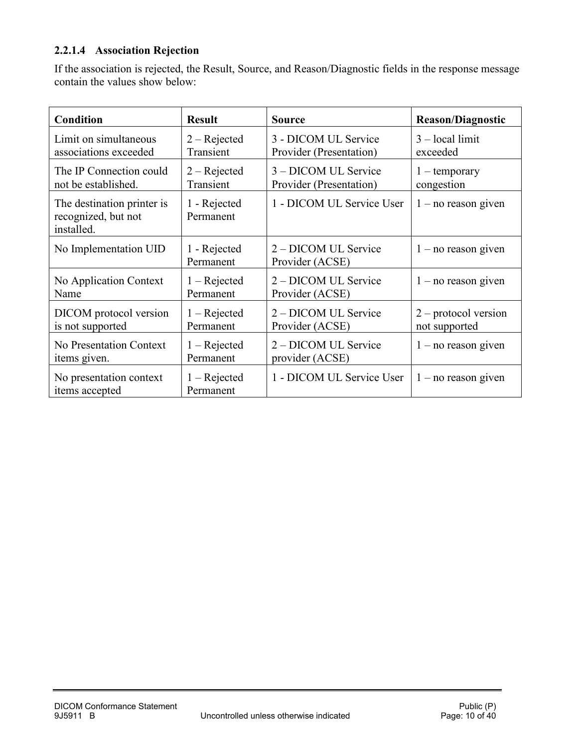#### <span id="page-9-0"></span>**2.2.1.4 Association Rejection**

If the association is rejected, the Result, Source, and Reason/Diagnostic fields in the response message contain the values show below:

| <b>Condition</b>                                                | <b>Result</b>               | <b>Source</b>                           | <b>Reason/Diagnostic</b> |
|-----------------------------------------------------------------|-----------------------------|-----------------------------------------|--------------------------|
| Limit on simultaneous                                           | $2 - Rejected$              | 3 - DICOM UL Service                    | $3 - local limit$        |
| associations exceeded                                           | Transient                   | Provider (Presentation)                 | exceeded                 |
| The IP Connection could                                         | $2 - Rejected$              | 3 – DICOM UL Service                    | $1$ – temporary          |
| not be established.                                             | Transient                   | Provider (Presentation)                 | congestion               |
| The destination printer is<br>recognized, but not<br>installed. | 1 - Rejected<br>Permanent   | 1 - DICOM UL Service User               | $1 - no reason given$    |
| No Implementation UID                                           | 1 - Rejected<br>Permanent   | 2 – DICOM UL Service<br>Provider (ACSE) | $1 - no reason given$    |
| No Application Context                                          | $1 - Rejected$              | 2 – DICOM UL Service                    | $1 - no reason given$    |
| Name                                                            | Permanent                   | Provider (ACSE)                         |                          |
| DICOM protocol version                                          | $1 -$ Rejected              | 2 – DICOM UL Service                    | $2$ – protocol version   |
| is not supported                                                | Permanent                   | Provider (ACSE)                         | not supported            |
| No Presentation Context                                         | $1 -$ Rejected              | 2 – DICOM UL Service                    | $1 - no reason given$    |
| items given.                                                    | Permanent                   | provider (ACSE)                         |                          |
| No presentation context<br>items accepted                       | $1 - Rejected$<br>Permanent | 1 - DICOM UL Service User               | $1 - no reason given$    |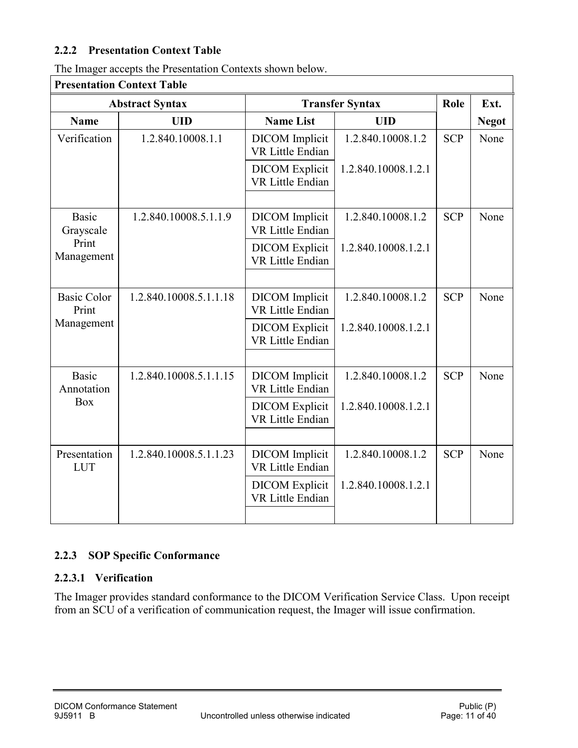#### <span id="page-10-0"></span>**2.2.2 Presentation Context Table**

| The Imager accepts the Presentation Contexts shown below. |  |
|-----------------------------------------------------------|--|
|-----------------------------------------------------------|--|

| <b>Presentation Context Table</b> |                        |                                                  |                     |            |              |  |
|-----------------------------------|------------------------|--------------------------------------------------|---------------------|------------|--------------|--|
|                                   | <b>Abstract Syntax</b> | <b>Transfer Syntax</b>                           |                     | Role       | Ext.         |  |
| <b>Name</b>                       | <b>UID</b>             | <b>Name List</b>                                 | <b>UID</b>          |            | <b>Negot</b> |  |
| Verification                      | 1.2.840.10008.1.1      | <b>DICOM</b> Implicit<br>VR Little Endian        | 1.2.840.10008.1.2   | <b>SCP</b> | None         |  |
|                                   |                        | <b>DICOM</b> Explicit<br><b>VR Little Endian</b> | 1.2.840.10008.1.2.1 |            |              |  |
|                                   |                        |                                                  |                     |            |              |  |
| <b>Basic</b><br>Grayscale         | 1.2.840.10008.5.1.1.9  | <b>DICOM</b> Implicit<br><b>VR Little Endian</b> | 1.2.840.10008.1.2   | <b>SCP</b> | None         |  |
| Print<br>Management               |                        | <b>DICOM</b> Explicit<br><b>VR Little Endian</b> | 1.2.840.10008.1.2.1 |            |              |  |
|                                   |                        |                                                  |                     |            |              |  |
| <b>Basic Color</b><br>Print       | 1.2.840.10008.5.1.1.18 | <b>DICOM</b> Implicit<br><b>VR Little Endian</b> | 1.2.840.10008.1.2   | <b>SCP</b> | None         |  |
| Management                        |                        | <b>DICOM</b> Explicit<br><b>VR Little Endian</b> | 1.2.840.10008.1.2.1 |            |              |  |
|                                   |                        |                                                  |                     |            |              |  |
| <b>Basic</b><br>Annotation        | 1.2.840.10008.5.1.1.15 | <b>DICOM</b> Implicit<br><b>VR Little Endian</b> | 1.2.840.10008.1.2   | <b>SCP</b> | None         |  |
| <b>Box</b>                        |                        | <b>DICOM</b> Explicit<br><b>VR Little Endian</b> | 1.2.840.10008.1.2.1 |            |              |  |
|                                   |                        |                                                  |                     |            |              |  |
| Presentation<br><b>LUT</b>        | 1.2.840.10008.5.1.1.23 | <b>DICOM</b> Implicit<br>VR Little Endian        | 1.2.840.10008.1.2   | <b>SCP</b> | None         |  |
|                                   |                        | <b>DICOM</b> Explicit<br><b>VR Little Endian</b> | 1.2.840.10008.1.2.1 |            |              |  |
|                                   |                        |                                                  |                     |            |              |  |

### **Presentation Context Table**

#### <span id="page-10-1"></span>**2.2.3 SOP Specific Conformance**

### **2.2.3.1 Verification**

The Imager provides standard conformance to the DICOM Verification Service Class. Upon receipt from an SCU of a verification of communication request, the Imager will issue confirmation.

٦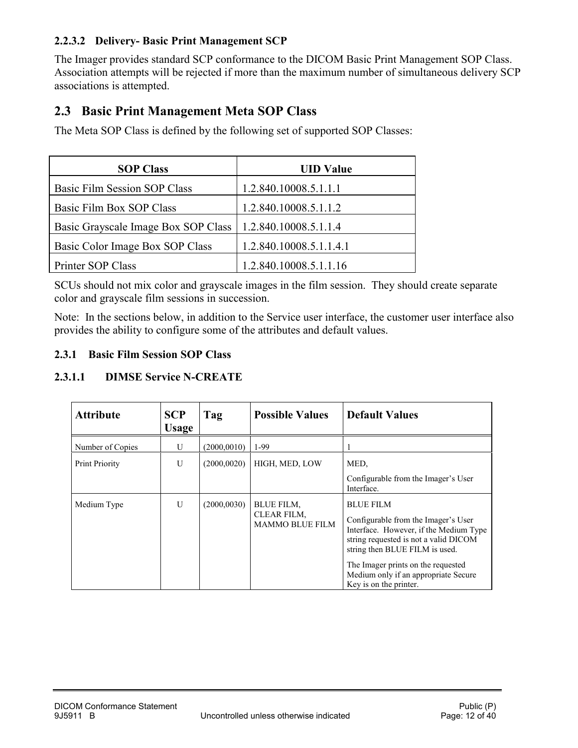#### **2.2.3.2 Delivery- Basic Print Management SCP**

The Imager provides standard SCP conformance to the DICOM Basic Print Management SOP Class. Association attempts will be rejected if more than the maximum number of simultaneous delivery SCP associations is attempted.

### <span id="page-11-0"></span>**2.3 Basic Print Management Meta SOP Class**

The Meta SOP Class is defined by the following set of supported SOP Classes:

| <b>SOP Class</b>                    | <b>UID Value</b>        |
|-------------------------------------|-------------------------|
| Basic Film Session SOP Class        | 1.2.840.10008.5.1.1.1   |
| Basic Film Box SOP Class            | 1.2.840.10008.5.1.1.2   |
| Basic Grayscale Image Box SOP Class | 1.2.840.10008.5.1.1.4   |
| Basic Color Image Box SOP Class     | 1.2.840.10008.5.1.1.4.1 |
| Printer SOP Class                   | 1.2.840.10008.5.1.1.16  |

SCUs should not mix color and grayscale images in the film session. They should create separate color and grayscale film sessions in succession.

Note: In the sections below, in addition to the Service user interface, the customer user interface also provides the ability to configure some of the attributes and default values.

#### <span id="page-11-1"></span>**2.3.1 Basic Film Session SOP Class**

#### **2.3.1.1 DIMSE Service N-CREATE**

| <b>Attribute</b>      | <b>SCP</b><br><b>Usage</b> | Tag          | <b>Possible Values</b>                                     | <b>Default Values</b>                                                                                                                                                                                                                                                                |
|-----------------------|----------------------------|--------------|------------------------------------------------------------|--------------------------------------------------------------------------------------------------------------------------------------------------------------------------------------------------------------------------------------------------------------------------------------|
| Number of Copies      | U                          | (2000.0010)  | $1-99$                                                     |                                                                                                                                                                                                                                                                                      |
| <b>Print Priority</b> | U                          | (2000, 0020) | HIGH, MED, LOW                                             | MED,                                                                                                                                                                                                                                                                                 |
|                       |                            |              |                                                            | Configurable from the Imager's User<br>Interface.                                                                                                                                                                                                                                    |
| Medium Type           | U                          | (2000, 0030) | <b>BLUE FILM,</b><br>CLEAR FILM,<br><b>MAMMO BLUE FILM</b> | <b>BLUE FILM</b><br>Configurable from the Imager's User<br>Interface. However, if the Medium Type<br>string requested is not a valid DICOM<br>string then BLUE FILM is used.<br>The Imager prints on the requested<br>Medium only if an appropriate Secure<br>Key is on the printer. |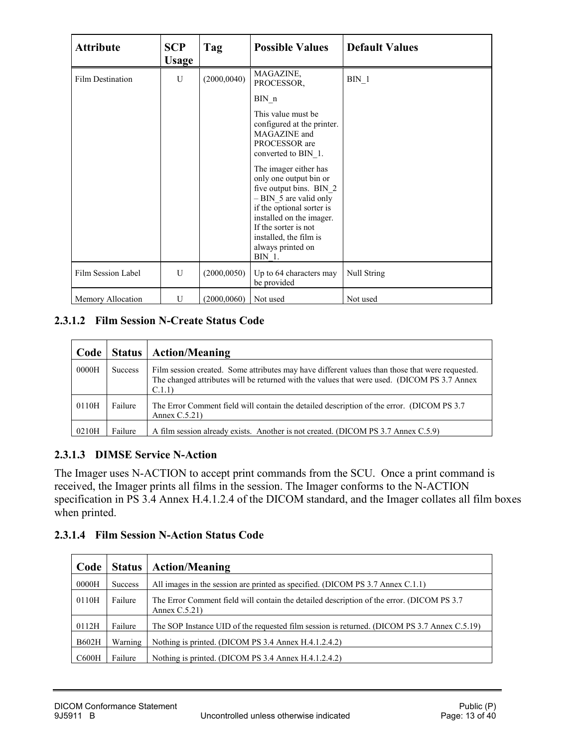| <b>Attribute</b>   | <b>SCP</b><br><b>Usage</b> | Tag          | <b>Possible Values</b>                                                                                                                                                                                                                                                                                                                             | <b>Default Values</b> |
|--------------------|----------------------------|--------------|----------------------------------------------------------------------------------------------------------------------------------------------------------------------------------------------------------------------------------------------------------------------------------------------------------------------------------------------------|-----------------------|
| Film Destination   | U                          | (2000, 0040) | MAGAZINE,<br>PROCESSOR,                                                                                                                                                                                                                                                                                                                            | $BIN_1$               |
|                    |                            |              | BIN n                                                                                                                                                                                                                                                                                                                                              |                       |
|                    |                            |              | This value must be<br>configured at the printer.<br>MAGAZINE and<br>PROCESSOR are<br>converted to BIN 1.<br>The imager either has<br>only one output bin or<br>five output bins. BIN 2<br>$-$ BIN 5 are valid only<br>if the optional sorter is<br>installed on the imager.<br>If the sorter is not<br>installed, the film is<br>always printed on |                       |
|                    |                            |              | BIN 1.                                                                                                                                                                                                                                                                                                                                             |                       |
| Film Session Label | U                          | (2000, 0050) | Up to 64 characters may<br>be provided                                                                                                                                                                                                                                                                                                             | Null String           |
| Memory Allocation  | U                          | (2000, 0060) | Not used                                                                                                                                                                                                                                                                                                                                           | Not used              |

#### **2.3.1.2 Film Session N-Create Status Code**

| Code  | Status         | <b>Action/Meaning</b>                                                                                                                                                                                    |
|-------|----------------|----------------------------------------------------------------------------------------------------------------------------------------------------------------------------------------------------------|
| 0000H | <b>Success</b> | Film session created. Some attributes may have different values than those that were requested.<br>The changed attributes will be returned with the values that were used. (DICOM PS 3.7 Annex<br>C.1.1) |
| 0110H | Failure        | The Error Comment field will contain the detailed description of the error. (DICOM PS 3.7)<br>Annex $C.5.21$ )                                                                                           |
| 0210H | Failure        | A film session already exists. Another is not created. (DICOM PS 3.7 Annex C.5.9)                                                                                                                        |

### **2.3.1.3 DIMSE Service N-Action**

The Imager uses N-ACTION to accept print commands from the SCU. Once a print command is received, the Imager prints all films in the session. The Imager conforms to the N-ACTION specification in PS 3.4 Annex H.4.1.2.4 of the DICOM standard, and the Imager collates all film boxes when printed.

#### **2.3.1.4 Film Session N-Action Status Code**

| Code         | <b>Status</b> | <b>Action/Meaning</b>                                                                                          |
|--------------|---------------|----------------------------------------------------------------------------------------------------------------|
| 0000H        | Success       | All images in the session are printed as specified. (DICOM PS 3.7 Annex C.1.1)                                 |
| 0110H        | Failure       | The Error Comment field will contain the detailed description of the error. (DICOM PS 3.7)<br>Annex $C.5.21$ ) |
| 0112H        | Failure       | The SOP Instance UID of the requested film session is returned. (DICOM PS 3.7 Annex C.5.19)                    |
| <b>B602H</b> | Warning       | Nothing is printed. (DICOM PS 3.4 Annex H.4.1.2.4.2)                                                           |
| C600H        | Failure       | Nothing is printed. (DICOM PS 3.4 Annex H.4.1.2.4.2)                                                           |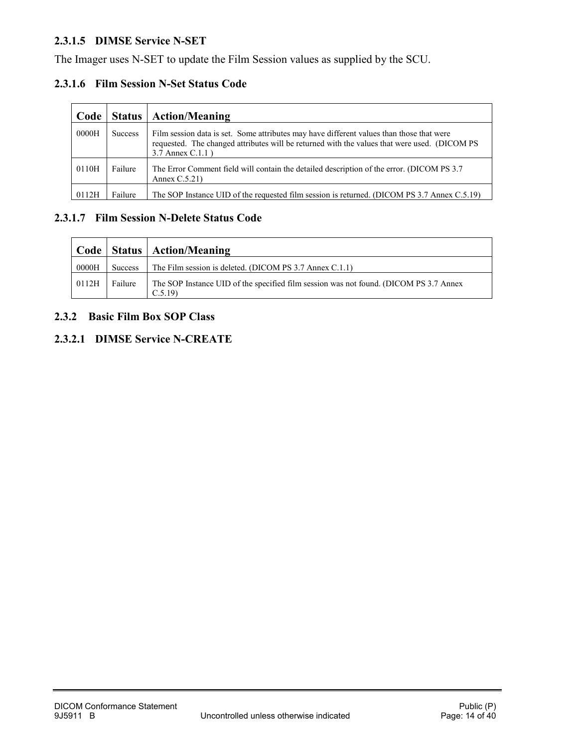#### **2.3.1.5 DIMSE Service N-SET**

The Imager uses N-SET to update the Film Session values as supplied by the SCU.

#### **2.3.1.6 Film Session N-Set Status Code**

| Code  | Status  | <b>Action/Meaning</b>                                                                                                                                                                                           |
|-------|---------|-----------------------------------------------------------------------------------------------------------------------------------------------------------------------------------------------------------------|
| 0000H | Success | Film session data is set. Some attributes may have different values than those that were<br>requested. The changed attributes will be returned with the values that were used. (DICOM PS<br>3.7 Annex $C.1.1$ ) |
| 0110H | Failure | The Error Comment field will contain the detailed description of the error. (DICOM PS 3.7)<br>Annex $C.5.21$ )                                                                                                  |
| 0112H | Failure | The SOP Instance UID of the requested film session is returned. (DICOM PS 3.7 Annex C.5.19)                                                                                                                     |

#### **2.3.1.7 Film Session N-Delete Status Code**

|       |         | Code   Status   Action/Meaning                                                                  |
|-------|---------|-------------------------------------------------------------------------------------------------|
| 0000H | Success | The Film session is deleted. (DICOM PS 3.7 Annex C.1.1)                                         |
| 0112H | Failure | The SOP Instance UID of the specified film session was not found. (DICOM PS 3.7 Annex<br>C.5.19 |

#### <span id="page-13-0"></span>**2.3.2 Basic Film Box SOP Class**

#### **2.3.2.1 DIMSE Service N-CREATE**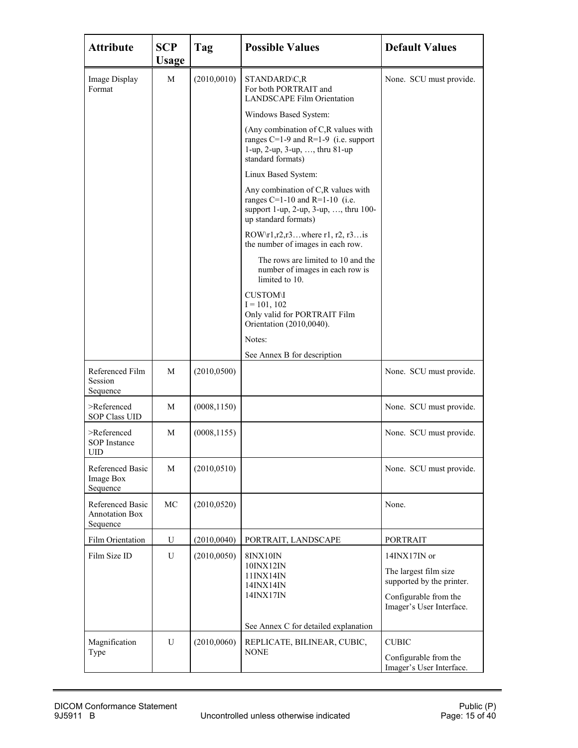| <b>Attribute</b>                                        | <b>SCP</b><br><b>Usage</b> | Tag          | <b>Possible Values</b>                                                                                                                    | <b>Default Values</b>                              |
|---------------------------------------------------------|----------------------------|--------------|-------------------------------------------------------------------------------------------------------------------------------------------|----------------------------------------------------|
| Image Display<br>Format                                 | М                          | (2010, 0010) | STANDARD\C,R<br>For both PORTRAIT and<br><b>LANDSCAPE Film Orientation</b>                                                                | None. SCU must provide.                            |
|                                                         |                            |              | Windows Based System:                                                                                                                     |                                                    |
|                                                         |                            |              | (Any combination of C,R values with<br>ranges $C=1-9$ and $R=1-9$ (i.e. support<br>1-up, 2-up, 3-up, , thru 81-up<br>standard formats)    |                                                    |
|                                                         |                            |              | Linux Based System:                                                                                                                       |                                                    |
|                                                         |                            |              | Any combination of C,R values with<br>ranges $C=1-10$ and $R=1-10$ (i.e.<br>support 1-up, 2-up, 3-up, , thru 100-<br>up standard formats) |                                                    |
|                                                         |                            |              | ROW $r1, r2, r3$ where r1, r2, r3 is<br>the number of images in each row.                                                                 |                                                    |
|                                                         |                            |              | The rows are limited to 10 and the<br>number of images in each row is<br>limited to 10.                                                   |                                                    |
|                                                         |                            |              | <b>CUSTOM\I</b><br>$I = 101, 102$<br>Only valid for PORTRAIT Film<br>Orientation (2010,0040).                                             |                                                    |
|                                                         |                            |              | Notes:                                                                                                                                    |                                                    |
|                                                         |                            |              | See Annex B for description                                                                                                               |                                                    |
| Referenced Film<br>Session<br>Sequence                  | М                          | (2010, 0500) |                                                                                                                                           | None. SCU must provide.                            |
| >Referenced<br><b>SOP Class UID</b>                     | М                          | (0008, 1150) |                                                                                                                                           | None. SCU must provide.                            |
| >Referenced<br><b>SOP</b> Instance<br><b>UID</b>        | М                          | (0008, 1155) |                                                                                                                                           | None. SCU must provide.                            |
| <b>Referenced Basic</b><br><b>Image Box</b><br>Sequence | M                          | (2010, 0510) |                                                                                                                                           | None. SCU must provide.                            |
| Referenced Basic<br><b>Annotation Box</b><br>Sequence   | MC                         | (2010, 0520) |                                                                                                                                           | None.                                              |
| Film Orientation                                        | U                          | (2010, 0040) | PORTRAIT, LANDSCAPE                                                                                                                       | <b>PORTRAIT</b>                                    |
| Film Size ID                                            | U                          | (2010, 0050) | <b>8INX10IN</b>                                                                                                                           | $14\text{IN}X17\text{IN}$ or                       |
|                                                         |                            |              | 10INX12IN<br>11INX14IN<br>14INX14IN                                                                                                       | The largest film size<br>supported by the printer. |
|                                                         |                            |              | 14INX17IN                                                                                                                                 | Configurable from the<br>Imager's User Interface.  |
|                                                         |                            |              | See Annex C for detailed explanation                                                                                                      |                                                    |
| Magnification<br>Type                                   | U                          | (2010,0060)  | REPLICATE, BILINEAR, CUBIC,<br><b>NONE</b>                                                                                                | <b>CUBIC</b>                                       |
|                                                         |                            |              |                                                                                                                                           | Configurable from the<br>Imager's User Interface.  |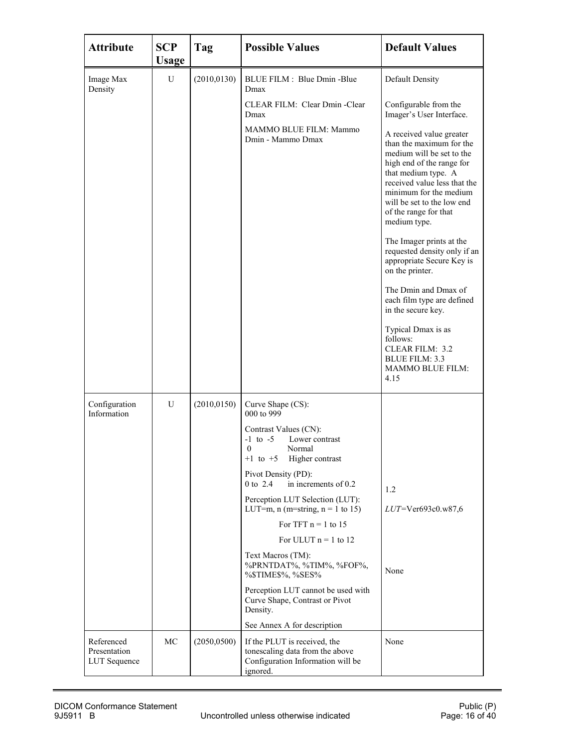| <b>Attribute</b>                           | <b>SCP</b><br><b>Usage</b> | Tag          | <b>Possible Values</b>                                                                                           | <b>Default Values</b>                                                                                                                                                                                                                                                  |
|--------------------------------------------|----------------------------|--------------|------------------------------------------------------------------------------------------------------------------|------------------------------------------------------------------------------------------------------------------------------------------------------------------------------------------------------------------------------------------------------------------------|
| Image Max<br>Density                       | U                          | (2010, 0130) | BLUE FILM : Blue Dmin -Blue<br>Dmax                                                                              | Default Density                                                                                                                                                                                                                                                        |
|                                            |                            |              | CLEAR FILM: Clear Dmin - Clear<br>Dmax                                                                           | Configurable from the<br>Imager's User Interface.                                                                                                                                                                                                                      |
|                                            |                            |              | MAMMO BLUE FILM: Mammo<br>Dmin - Mammo Dmax                                                                      | A received value greater<br>than the maximum for the<br>medium will be set to the<br>high end of the range for<br>that medium type. A<br>received value less that the<br>minimum for the medium<br>will be set to the low end<br>of the range for that<br>medium type. |
|                                            |                            |              |                                                                                                                  | The Imager prints at the<br>requested density only if an<br>appropriate Secure Key is<br>on the printer.                                                                                                                                                               |
|                                            |                            |              |                                                                                                                  | The Dmin and Dmax of<br>each film type are defined<br>in the secure key.                                                                                                                                                                                               |
|                                            |                            |              |                                                                                                                  | Typical Dmax is as<br>follows:<br><b>CLEAR FILM: 3.2</b><br><b>BLUE FILM: 3.3</b><br>MAMMO BLUE FILM:<br>4.15                                                                                                                                                          |
| Configuration<br>Information               | U                          | (2010, 0150) | Curve Shape (CS):<br>000 to 999                                                                                  |                                                                                                                                                                                                                                                                        |
|                                            |                            |              | Contrast Values (CN):<br>$-1$ to $-5$<br>Lower contrast<br>$\theta$<br>Normal<br>Higher contrast<br>$+1$ to $+5$ |                                                                                                                                                                                                                                                                        |
|                                            |                            |              | Pivot Density (PD):<br>in increments of 0.2<br>0 to 2.4                                                          |                                                                                                                                                                                                                                                                        |
|                                            |                            |              | Perception LUT Selection (LUT):<br>LUT=m, n (m=string, $n = 1$ to 15)                                            | 1.2<br>LUT=Ver693c0.w87,6                                                                                                                                                                                                                                              |
|                                            |                            |              | For TFT $n = 1$ to 15                                                                                            |                                                                                                                                                                                                                                                                        |
|                                            |                            |              | For ULUT $n = 1$ to 12                                                                                           |                                                                                                                                                                                                                                                                        |
|                                            |                            |              | Text Macros (TM):<br>%PRNTDAT%, %TIM%, %FOF%,<br>%\$TIME\$%, %SES%                                               | None                                                                                                                                                                                                                                                                   |
|                                            |                            |              | Perception LUT cannot be used with<br>Curve Shape, Contrast or Pivot<br>Density.                                 |                                                                                                                                                                                                                                                                        |
|                                            |                            |              | See Annex A for description                                                                                      |                                                                                                                                                                                                                                                                        |
| Referenced<br>Presentation<br>LUT Sequence | МC                         | (2050, 0500) | If the PLUT is received, the<br>tonescaling data from the above<br>Configuration Information will be<br>ignored. | None                                                                                                                                                                                                                                                                   |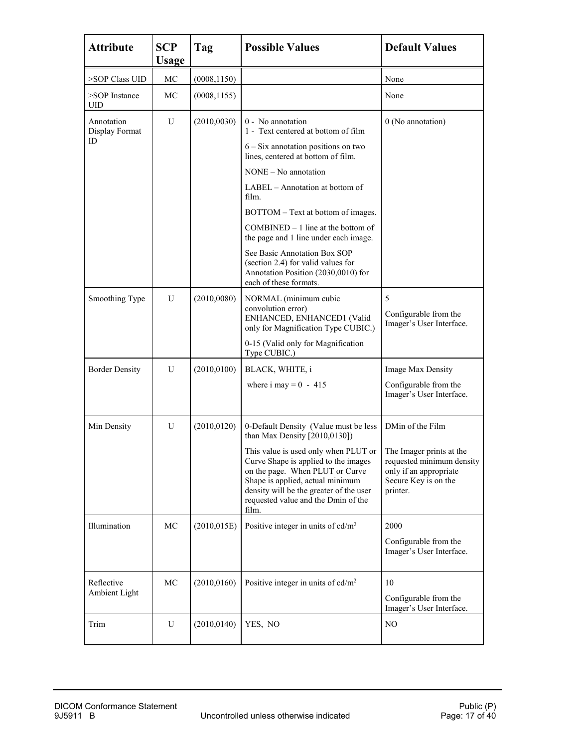| <b>Attribute</b>                   | <b>SCP</b><br>Usage | Tag          | <b>Possible Values</b>                                                                                                                                                                                                                                                                                                                                                                                                                                                    | <b>Default Values</b>                                                                                                                   |
|------------------------------------|---------------------|--------------|---------------------------------------------------------------------------------------------------------------------------------------------------------------------------------------------------------------------------------------------------------------------------------------------------------------------------------------------------------------------------------------------------------------------------------------------------------------------------|-----------------------------------------------------------------------------------------------------------------------------------------|
| >SOP Class UID                     | MC                  | (0008, 1150) |                                                                                                                                                                                                                                                                                                                                                                                                                                                                           | None                                                                                                                                    |
| >SOP Instance<br>UID               | МC                  | (0008, 1155) |                                                                                                                                                                                                                                                                                                                                                                                                                                                                           | None                                                                                                                                    |
| Annotation<br>Display Format<br>ID | U                   | (2010,0030)  | 0 - No annotation<br>1 - Text centered at bottom of film<br>$6 - Six$ annotation positions on two<br>lines, centered at bottom of film.<br>NONE – No annotation<br>LABEL – Annotation at bottom of<br>film.<br>BOTTOM - Text at bottom of images.<br>$COMBINED - 1$ line at the bottom of<br>the page and 1 line under each image.<br>See Basic Annotation Box SOP<br>(section 2.4) for valid values for<br>Annotation Position (2030,0010) for<br>each of these formats. | 0 (No annotation)                                                                                                                       |
| Smoothing Type                     | U                   | (2010,0080)  | NORMAL (minimum cubic<br>convolution error)<br>ENHANCED, ENHANCED1 (Valid<br>only for Magnification Type CUBIC.)<br>0-15 (Valid only for Magnification<br>Type CUBIC.)                                                                                                                                                                                                                                                                                                    | 5<br>Configurable from the<br>Imager's User Interface.                                                                                  |
| <b>Border Density</b>              | U                   | (2010, 0100) | BLACK, WHITE, i<br>where i may = $0 - 415$                                                                                                                                                                                                                                                                                                                                                                                                                                | Image Max Density<br>Configurable from the<br>Imager's User Interface.                                                                  |
| Min Density                        | U                   | (2010, 0120) | 0-Default Density (Value must be less<br>than Max Density $[2010, 0130]$<br>This value is used only when PLUT or<br>Curve Shape is applied to the images<br>on the page. When PLUT or Curve<br>Shape is applied, actual minimum<br>density will be the greater of the user<br>requested value and the Dmin of the<br>film.                                                                                                                                                | DMin of the Film<br>The Imager prints at the<br>requested minimum density<br>only if an appropriate<br>Secure Key is on the<br>printer. |
| Illumination                       | MC                  | (2010, 015E) | Positive integer in units of $cd/m^2$                                                                                                                                                                                                                                                                                                                                                                                                                                     | 2000<br>Configurable from the<br>Imager's User Interface.                                                                               |
| Reflective<br>Ambient Light        | MC                  | (2010, 0160) | Positive integer in units of $cd/m^2$                                                                                                                                                                                                                                                                                                                                                                                                                                     | 10<br>Configurable from the<br>Imager's User Interface.                                                                                 |
| Trim                               | U                   | (2010, 0140) | YES, NO                                                                                                                                                                                                                                                                                                                                                                                                                                                                   | NO                                                                                                                                      |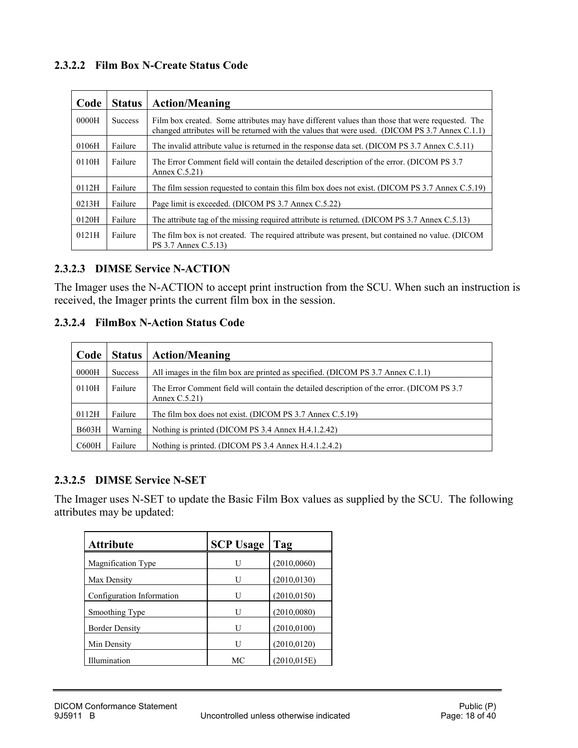#### **2.3.2.2 Film Box N-Create Status Code**

| Code  | <b>Status</b>  | <b>Action/Meaning</b>                                                                                                                                                                             |
|-------|----------------|---------------------------------------------------------------------------------------------------------------------------------------------------------------------------------------------------|
| 0000H | <b>Success</b> | Film box created. Some attributes may have different values than those that were requested. The<br>changed attributes will be returned with the values that were used. (DICOM PS 3.7 Annex C.1.1) |
| 0106H | Failure        | The invalid attribute value is returned in the response data set. (DICOM PS 3.7 Annex C.5.11)                                                                                                     |
| 0110H | Failure        | The Error Comment field will contain the detailed description of the error. (DICOM PS 3.7)<br>Annex $C.5.21$ )                                                                                    |
| 0112H | Failure        | The film session requested to contain this film box does not exist. (DICOM PS 3.7 Annex C.5.19)                                                                                                   |
| 0213H | Failure        | Page limit is exceeded. (DICOM PS 3.7 Annex C.5.22)                                                                                                                                               |
| 0120H | Failure        | The attribute tag of the missing required attribute is returned. (DICOM PS 3.7 Annex C.5.13)                                                                                                      |
| 0121H | Failure        | The film box is not created. The required attribute was present, but contained no value. (DICOM<br>PS 3.7 Annex C.5.13)                                                                           |

#### **2.3.2.3 DIMSE Service N-ACTION**

The Imager uses the N-ACTION to accept print instruction from the SCU. When such an instruction is received, the Imager prints the current film box in the session.

#### **2.3.2.4 FilmBox N-Action Status Code**

| Code         | <b>Status</b>  | <b>Action/Meaning</b>                                                                                          |
|--------------|----------------|----------------------------------------------------------------------------------------------------------------|
| 0000H        | <b>Success</b> | All images in the film box are printed as specified. (DICOM PS 3.7 Annex C.1.1)                                |
| 0110H        | Failure        | The Error Comment field will contain the detailed description of the error. (DICOM PS 3.7)<br>Annex $C.5.21$ ) |
| 0112H        | Failure        | The film box does not exist. (DICOM PS 3.7 Annex C.5.19)                                                       |
| <b>B603H</b> | Warning        | Nothing is printed (DICOM PS 3.4 Annex H.4.1.2.42)                                                             |
| C600H        | Failure        | Nothing is printed. (DICOM PS 3.4 Annex H.4.1.2.4.2)                                                           |

#### **2.3.2.5 DIMSE Service N-SET**

The Imager uses N-SET to update the Basic Film Box values as supplied by the SCU. The following attributes may be updated:

| <b>Attribute</b>          | <b>SCP Usage</b> | Tag          |
|---------------------------|------------------|--------------|
| Magnification Type        | U                | (2010, 0060) |
| Max Density               | U                | (2010, 0130) |
| Configuration Information | U                | (2010, 0150) |
| Smoothing Type            | U                | (2010, 0080) |
| <b>Border Density</b>     | U                | (2010, 0100) |
| Min Density               | U                | (2010, 0120) |
| Illumination              | МC               | (2010, 015E) |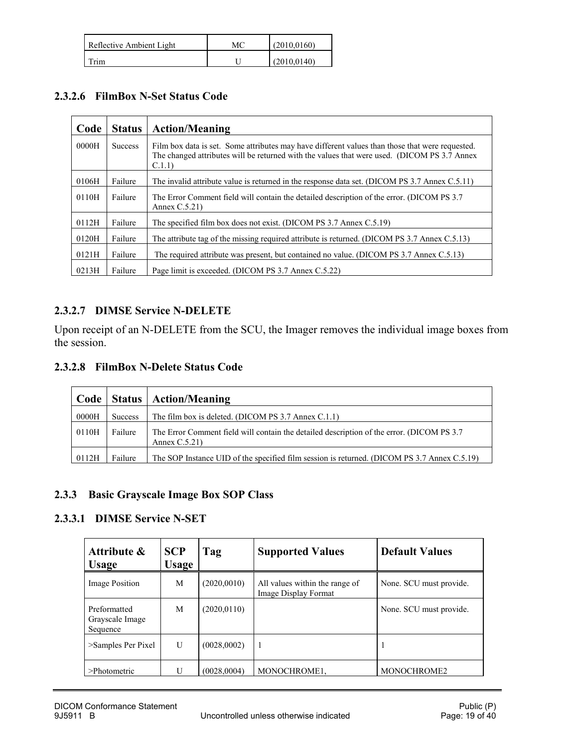| Reflective Ambient Light | МC | (2010, 0160) |
|--------------------------|----|--------------|
| $T$ rim                  |    | (2010, 0140) |

#### **2.3.2.6 FilmBox N-Set Status Code**

| Code  | <b>Status</b>  | <b>Action/Meaning</b>                                                                                                                                                                                    |
|-------|----------------|----------------------------------------------------------------------------------------------------------------------------------------------------------------------------------------------------------|
| 0000H | <b>Success</b> | Film box data is set. Some attributes may have different values than those that were requested.<br>The changed attributes will be returned with the values that were used. (DICOM PS 3.7 Annex<br>C.1.1) |
| 0106H | Failure        | The invalid attribute value is returned in the response data set. (DICOM PS 3.7 Annex C.5.11)                                                                                                            |
| 0110H | Failure        | The Error Comment field will contain the detailed description of the error. (DICOM PS 3.7)<br>Annex $C.5.21$ )                                                                                           |
| 0112H | Failure        | The specified film box does not exist. (DICOM PS 3.7 Annex C.5.19)                                                                                                                                       |
| 0120H | Failure        | The attribute tag of the missing required attribute is returned. (DICOM PS 3.7 Annex C.5.13)                                                                                                             |
| 0121H | Failure        | The required attribute was present, but contained no value. (DICOM PS 3.7 Annex C.5.13)                                                                                                                  |
| 0213H | Failure        | Page limit is exceeded. (DICOM PS 3.7 Annex C.5.22)                                                                                                                                                      |

#### **2.3.2.7 DIMSE Service N-DELETE**

Upon receipt of an N-DELETE from the SCU, the Imager removes the individual image boxes from the session.

#### **2.3.2.8 FilmBox N-Delete Status Code**

|       |         | Code   Status   Action/Meaning                                                                                 |
|-------|---------|----------------------------------------------------------------------------------------------------------------|
| 0000H | Success | The film box is deleted. (DICOM PS 3.7 Annex C.1.1)                                                            |
| 0110H | Failure | The Error Comment field will contain the detailed description of the error. (DICOM PS 3.7)<br>Annex $C.5.21$ ) |
| 0112H | Failure | The SOP Instance UID of the specified film session is returned. (DICOM PS 3.7 Annex C.5.19)                    |

#### <span id="page-18-0"></span>**2.3.3 Basic Grayscale Image Box SOP Class**

#### **2.3.3.1 DIMSE Service N-SET**

| Attribute &<br><b>Usage</b>                 | <b>SCP</b><br><b>Usage</b> | Tag          | <b>Supported Values</b>                                | <b>Default Values</b>   |
|---------------------------------------------|----------------------------|--------------|--------------------------------------------------------|-------------------------|
| Image Position                              | М                          | (2020,0010)  | All values within the range of<br>Image Display Format | None. SCU must provide. |
| Preformatted<br>Grayscale Image<br>Sequence | M                          | (2020, 0110) |                                                        | None. SCU must provide. |
| $\ge$ Samples Per Pixel                     | U                          | (0028,0002)  | $\overline{1}$                                         |                         |
| $>$ Photometric                             | U                          | (0028,0004)  | MONOCHROME1.                                           | MONOCHROME2             |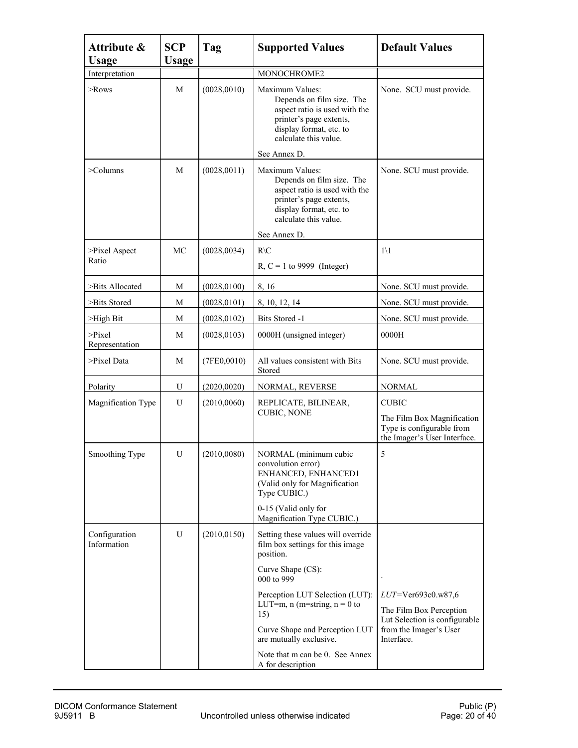| Attribute &<br><b>Usage</b>   | <b>SCP</b><br>Usage | Tag          | <b>Supported Values</b>                                                                                                                                                   | <b>Default Values</b>                                                                                   |
|-------------------------------|---------------------|--------------|---------------------------------------------------------------------------------------------------------------------------------------------------------------------------|---------------------------------------------------------------------------------------------------------|
| Interpretation                |                     |              | MONOCHROME2                                                                                                                                                               |                                                                                                         |
| $\geq$ Rows                   | M                   | (0028, 0010) | Maximum Values:<br>Depends on film size. The<br>aspect ratio is used with the<br>printer's page extents,<br>display format, etc. to<br>calculate this value.              | None. SCU must provide.                                                                                 |
|                               |                     |              | See Annex D.                                                                                                                                                              |                                                                                                         |
| $\geq$ Columns                | M                   | (0028, 0011) | Maximum Values:<br>Depends on film size. The<br>aspect ratio is used with the<br>printer's page extents,<br>display format, etc. to<br>calculate this value.              | None. SCU must provide.                                                                                 |
|                               |                     |              | See Annex D.                                                                                                                                                              |                                                                                                         |
| $\ge$ Pixel Aspect<br>Ratio   | МC                  | (0028, 0034) | $R\setminus C$<br>R, $C = 1$ to 9999 (Integer)                                                                                                                            | $1\vee 1$                                                                                               |
| >Bits Allocated               | М                   | (0028, 0100) | 8, 16                                                                                                                                                                     | None. SCU must provide.                                                                                 |
| >Bits Stored                  | М                   | (0028, 0101) | 8, 10, 12, 14                                                                                                                                                             | None. SCU must provide.                                                                                 |
| $>$ High Bit                  | М                   | (0028, 0102) | Bits Stored -1                                                                                                                                                            | None. SCU must provide.                                                                                 |
| $\ge$ Pixel<br>Representation | М                   | (0028, 0103) | 0000H (unsigned integer)                                                                                                                                                  | 0000H                                                                                                   |
| >Pixel Data                   | М                   | (7FE0,0010)  | All values consistent with Bits<br>Stored                                                                                                                                 | None. SCU must provide.                                                                                 |
| Polarity                      | U                   | (2020,0020)  | NORMAL, REVERSE                                                                                                                                                           | <b>NORMAL</b>                                                                                           |
| Magnification Type            | U                   | (2010,0060)  | REPLICATE, BILINEAR,<br><b>CUBIC, NONE</b>                                                                                                                                | <b>CUBIC</b><br>The Film Box Magnification<br>Type is configurable from<br>the Imager's User Interface. |
| Smoothing Type                | U                   | (2010,0080)  | NORMAL (minimum cubic<br>convolution error)<br>ENHANCED, ENHANCED1<br>(Valid only for Magnification<br>Type CUBIC.)<br>0-15 (Valid only for<br>Magnification Type CUBIC.) | 5                                                                                                       |
| Configuration<br>Information  | U                   | (2010, 0150) | Setting these values will override<br>film box settings for this image<br>position.                                                                                       |                                                                                                         |
|                               |                     |              | Curve Shape (CS):<br>000 to 999                                                                                                                                           | $\cdot$                                                                                                 |
|                               |                     |              | Perception LUT Selection (LUT):<br>LUT=m, $n$ (m=string, $n = 0$ to<br>15)                                                                                                | $LUT = \text{Ver693c0.w87,6}$<br>The Film Box Perception                                                |
|                               |                     |              | Curve Shape and Perception LUT<br>are mutually exclusive.                                                                                                                 | Lut Selection is configurable<br>from the Imager's User<br>Interface.                                   |
|                               |                     |              | Note that m can be 0. See Annex<br>A for description                                                                                                                      |                                                                                                         |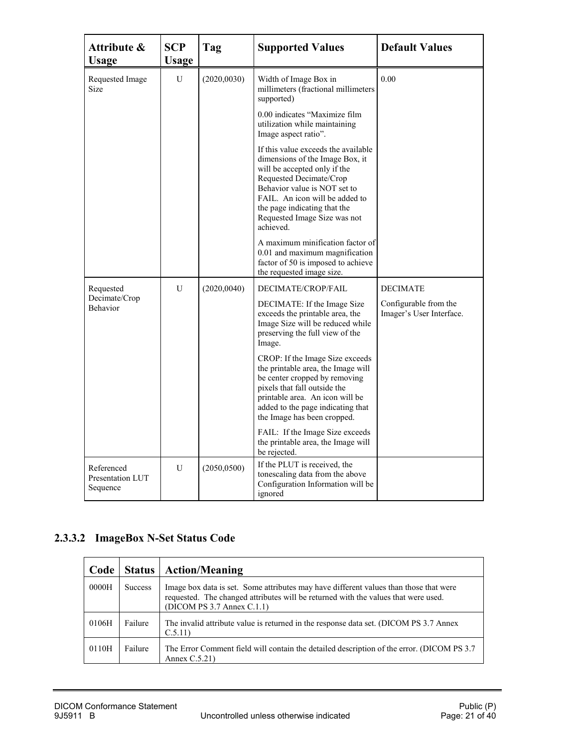| Attribute &<br><b>Usage</b>                | <b>SCP</b><br><b>Usage</b> | Tag          | <b>Supported Values</b>                                                                                                                                                                                                                                                          | <b>Default Values</b>                             |
|--------------------------------------------|----------------------------|--------------|----------------------------------------------------------------------------------------------------------------------------------------------------------------------------------------------------------------------------------------------------------------------------------|---------------------------------------------------|
| Requested Image<br>Size                    | U                          | (2020, 0030) | Width of Image Box in<br>millimeters (fractional millimeters<br>supported)                                                                                                                                                                                                       | 0.00                                              |
|                                            |                            |              | 0.00 indicates "Maximize film<br>utilization while maintaining<br>Image aspect ratio".                                                                                                                                                                                           |                                                   |
|                                            |                            |              | If this value exceeds the available<br>dimensions of the Image Box, it<br>will be accepted only if the<br>Requested Decimate/Crop<br>Behavior value is NOT set to<br>FAIL. An icon will be added to<br>the page indicating that the<br>Requested Image Size was not<br>achieved. |                                                   |
|                                            |                            |              | A maximum minification factor of<br>0.01 and maximum magnification<br>factor of 50 is imposed to achieve<br>the requested image size.                                                                                                                                            |                                                   |
| Requested                                  | U                          | (2020, 0040) | DECIMATE/CROP/FAIL                                                                                                                                                                                                                                                               | <b>DECIMATE</b>                                   |
| Decimate/Crop<br>Behavior                  |                            |              | DECIMATE: If the Image Size<br>exceeds the printable area, the<br>Image Size will be reduced while<br>preserving the full view of the<br>Image.                                                                                                                                  | Configurable from the<br>Imager's User Interface. |
|                                            |                            |              | CROP: If the Image Size exceeds<br>the printable area, the Image will<br>be center cropped by removing<br>pixels that fall outside the<br>printable area. An icon will be<br>added to the page indicating that<br>the Image has been cropped.                                    |                                                   |
|                                            |                            |              | FAIL: If the Image Size exceeds<br>the printable area, the Image will<br>be rejected.                                                                                                                                                                                            |                                                   |
| Referenced<br>Presentation LUT<br>Sequence | U                          | (2050, 0500) | If the PLUT is received, the<br>tonescaling data from the above<br>Configuration Information will be<br>ignored                                                                                                                                                                  |                                                   |

## **2.3.3.2 ImageBox N-Set Status Code**

| Code  | <b>Status</b>  | <b>Action/Meaning</b>                                                                                                                                                                                     |
|-------|----------------|-----------------------------------------------------------------------------------------------------------------------------------------------------------------------------------------------------------|
| 0000H | <b>Success</b> | Image box data is set. Some attributes may have different values than those that were<br>requested. The changed attributes will be returned with the values that were used.<br>(DICOM PS 3.7 Annex C.1.1) |
| 0106H | Failure        | The invalid attribute value is returned in the response data set. (DICOM PS 3.7 Annex<br>C.5.11                                                                                                           |
| 0110H | Failure        | The Error Comment field will contain the detailed description of the error. (DICOM PS 3.7)<br>Annex $C.5.21$ )                                                                                            |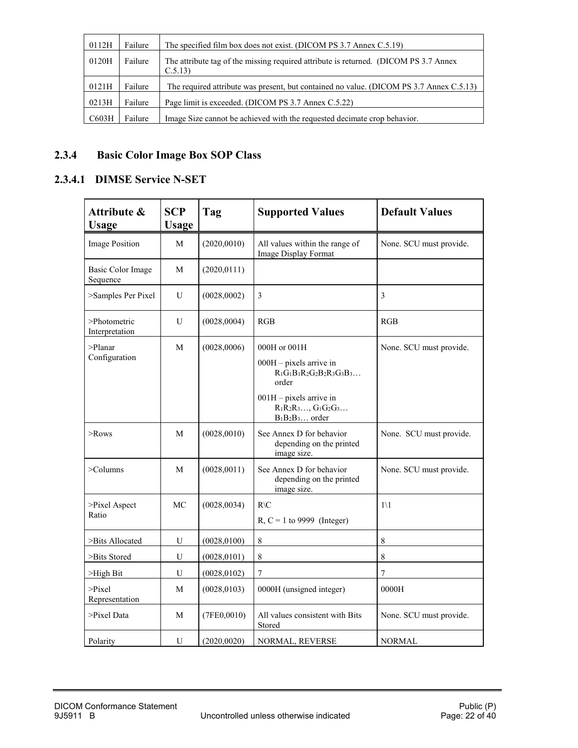| 0112H | Failure | The specified film box does not exist. (DICOM PS 3.7 Annex C.5.19)                             |
|-------|---------|------------------------------------------------------------------------------------------------|
| 0120H | Failure | The attribute tag of the missing required attribute is returned. (DICOM PS 3.7 Annex<br>C.5.13 |
| 0121H | Failure | The required attribute was present, but contained no value. (DICOM PS 3.7 Annex C.5.13)        |
| 0213H | Failure | Page limit is exceeded. (DICOM PS 3.7 Annex C.5.22)                                            |
| C603H | Failure | Image Size cannot be achieved with the requested decimate crop behavior.                       |

### <span id="page-21-0"></span>**2.3.4 Basic Color Image Box SOP Class**

#### **2.3.4.1 DIMSE Service N-SET**

| Attribute &<br><b>Usage</b>          | <b>SCP</b><br><b>Usage</b> | Tag          | <b>Supported Values</b>                                                                                                                                         | <b>Default Values</b>   |
|--------------------------------------|----------------------------|--------------|-----------------------------------------------------------------------------------------------------------------------------------------------------------------|-------------------------|
| <b>Image Position</b>                | $\mathbf M$                | (2020, 0010) | All values within the range of<br>Image Display Format                                                                                                          | None. SCU must provide. |
| <b>Basic Color Image</b><br>Sequence | M                          | (2020, 0111) |                                                                                                                                                                 |                         |
| >Samples Per Pixel                   | U                          | (0028, 0002) | 3                                                                                                                                                               | 3                       |
| >Photometric<br>Interpretation       | U                          | (0028,0004)  | RGB                                                                                                                                                             | RGB                     |
| $>$ Planar<br>Configuration          | M                          | (0028,0006)  | 000H or 001H<br>$000H -$ pixels arrive in<br>$R_1G_1B_1R_2G_2B_2R_3G_3B_3$<br>order<br>$001H$ – pixels arrive in<br>$R_1R_2R_3, G_1G_2G_3$<br>$B_1B_2B_3$ order | None. SCU must provide. |
| $>$ Rows                             | M                          | (0028, 0010) | See Annex D for behavior<br>depending on the printed<br>image size.                                                                                             | None. SCU must provide. |
| $>$ Columns                          | M                          | (0028, 0011) | See Annex D for behavior<br>depending on the printed<br>image size.                                                                                             | None. SCU must provide. |
| >Pixel Aspect<br>Ratio               | MC                         | (0028, 0034) | $R\setminus C$<br>$R, C = 1$ to 9999 (Integer)                                                                                                                  | $1\vee 1$               |
| >Bits Allocated                      | U                          | (0028, 0100) | 8                                                                                                                                                               | $\,$ 8 $\,$             |
| >Bits Stored                         | U                          | (0028, 0101) | $\,$ 8 $\,$                                                                                                                                                     | $\,$ 8 $\,$             |
| >High Bit                            | U                          | (0028, 0102) | $\overline{7}$                                                                                                                                                  | $\overline{7}$          |
| $\ge$ Pixel<br>Representation        | M                          | (0028, 0103) | 0000H (unsigned integer)                                                                                                                                        | 0000H                   |
| $\ge$ Pixel Data                     | M                          | (7FE0,0010)  | All values consistent with Bits<br>Stored                                                                                                                       | None. SCU must provide. |
| Polarity                             | U                          | (2020, 0020) | NORMAL, REVERSE                                                                                                                                                 | <b>NORMAL</b>           |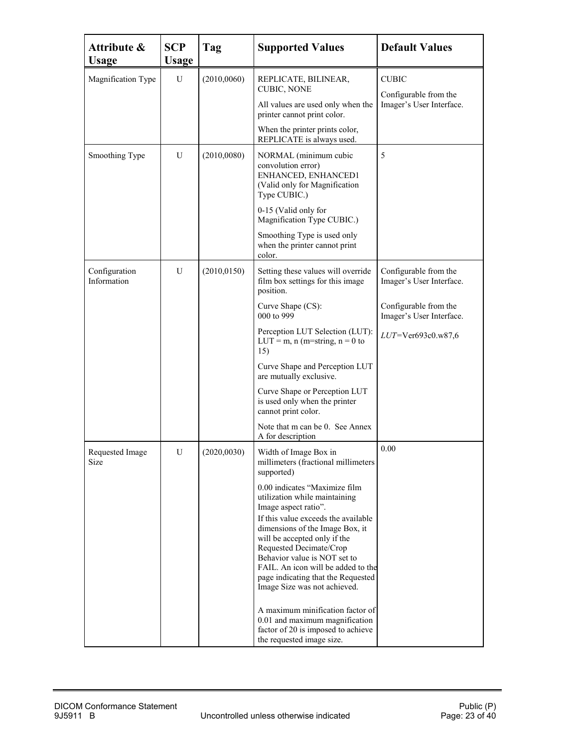| Attribute &<br><b>Usage</b>  | <b>SCP</b><br><b>Usage</b> | Tag          | <b>Supported Values</b>                                                                                                                                                                                                                                                                                                                                                                                                                                                                                                                                                                        | <b>Default Values</b>                                                                                                            |
|------------------------------|----------------------------|--------------|------------------------------------------------------------------------------------------------------------------------------------------------------------------------------------------------------------------------------------------------------------------------------------------------------------------------------------------------------------------------------------------------------------------------------------------------------------------------------------------------------------------------------------------------------------------------------------------------|----------------------------------------------------------------------------------------------------------------------------------|
| Magnification Type           | U                          | (2010,0060)  | REPLICATE, BILINEAR,<br><b>CUBIC, NONE</b><br>All values are used only when the<br>printer cannot print color.<br>When the printer prints color,<br>REPLICATE is always used.                                                                                                                                                                                                                                                                                                                                                                                                                  | <b>CUBIC</b><br>Configurable from the<br>Imager's User Interface.                                                                |
| Smoothing Type               | U                          | (2010,0080)  | NORMAL (minimum cubic<br>convolution error)<br>ENHANCED, ENHANCED1<br>(Valid only for Magnification<br>Type CUBIC.)<br>0-15 (Valid only for<br>Magnification Type CUBIC.)<br>Smoothing Type is used only<br>when the printer cannot print<br>color.                                                                                                                                                                                                                                                                                                                                            | 5                                                                                                                                |
| Configuration<br>Information | U                          | (2010, 0150) | Setting these values will override<br>film box settings for this image<br>position.<br>Curve Shape (CS):<br>000 to 999<br>Perception LUT Selection (LUT):<br>LUT = m, n (m=string, $n = 0$ to<br>15)<br>Curve Shape and Perception LUT<br>are mutually exclusive.<br>Curve Shape or Perception LUT<br>is used only when the printer<br>cannot print color.<br>Note that m can be 0. See Annex<br>A for description                                                                                                                                                                             | Configurable from the<br>Imager's User Interface.<br>Configurable from the<br>Imager's User Interface.<br>$LUT = Ver693c0.w87,6$ |
| Requested Image<br>Size      | U                          | (2020,0030)  | Width of Image Box in<br>millimeters (fractional millimeters<br>supported)<br>0.00 indicates "Maximize film<br>utilization while maintaining<br>Image aspect ratio".<br>If this value exceeds the available<br>dimensions of the Image Box, it<br>will be accepted only if the<br>Requested Decimate/Crop<br>Behavior value is NOT set to<br>FAIL. An icon will be added to the<br>page indicating that the Requested<br>Image Size was not achieved.<br>A maximum minification factor of<br>0.01 and maximum magnification<br>factor of 20 is imposed to achieve<br>the requested image size. | 0.00                                                                                                                             |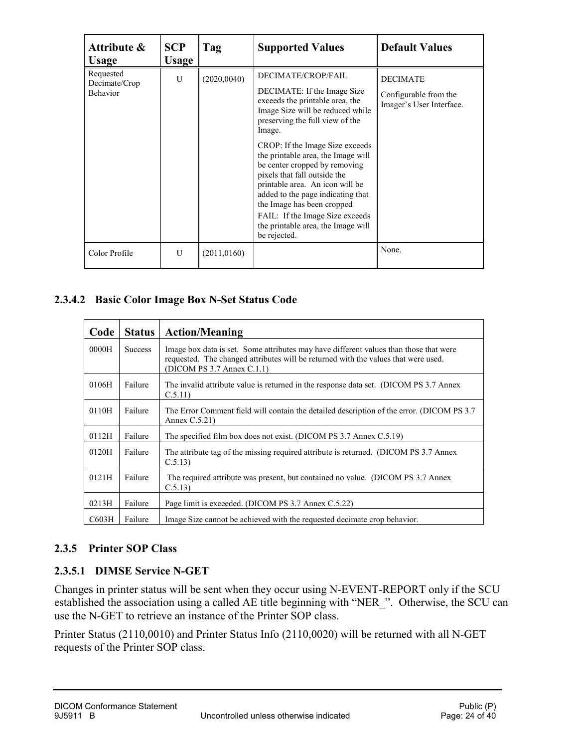| Attribute &<br><b>Usage</b>                   | <b>SCP</b><br><b>Usage</b> | Tag          | <b>Supported Values</b>                                                                                                                                                                                                                                                                                                                                                                                                                                                                                        | <b>Default Values</b>                                                |
|-----------------------------------------------|----------------------------|--------------|----------------------------------------------------------------------------------------------------------------------------------------------------------------------------------------------------------------------------------------------------------------------------------------------------------------------------------------------------------------------------------------------------------------------------------------------------------------------------------------------------------------|----------------------------------------------------------------------|
| Requested<br>Decimate/Crop<br><b>Behavior</b> | U                          | (2020, 0040) | DECIMATE/CROP/FAIL<br>DECIMATE: If the Image Size<br>exceeds the printable area, the<br>Image Size will be reduced while<br>preserving the full view of the<br>Image.<br>CROP: If the Image Size exceeds<br>the printable area, the Image will<br>be center cropped by removing<br>pixels that fall outside the<br>printable area. An icon will be<br>added to the page indicating that<br>the Image has been cropped<br>FAIL: If the Image Size exceeds<br>the printable area, the Image will<br>be rejected. | <b>DECIMATE</b><br>Configurable from the<br>Imager's User Interface. |
| Color Profile                                 | U                          | (2011, 0160) |                                                                                                                                                                                                                                                                                                                                                                                                                                                                                                                | None.                                                                |

#### **2.3.4.2 Basic Color Image Box N-Set Status Code**

| Code  | <b>Status</b>  | <b>Action/Meaning</b>                                                                                                                                                                                         |
|-------|----------------|---------------------------------------------------------------------------------------------------------------------------------------------------------------------------------------------------------------|
| 0000H | <b>Success</b> | Image box data is set. Some attributes may have different values than those that were<br>requested. The changed attributes will be returned with the values that were used.<br>$(DICOM PS 3.7$ Annex $C.1.1)$ |
| 0106H | Failure        | The invalid attribute value is returned in the response data set. (DICOM PS 3.7 Annex<br>C.5.11                                                                                                               |
| 0110H | Failure        | The Error Comment field will contain the detailed description of the error. (DICOM PS 3.7)<br>Annex $C.5.21$ )                                                                                                |
| 0112H | Failure        | The specified film box does not exist. (DICOM PS 3.7 Annex C.5.19)                                                                                                                                            |
| 0120H | Failure        | The attribute tag of the missing required attribute is returned. (DICOM PS 3.7 Annex<br>C.5.13                                                                                                                |
| 0121H | Failure        | The required attribute was present, but contained no value. (DICOM PS 3.7 Annex<br>C.5.13                                                                                                                     |
| 0213H | Failure        | Page limit is exceeded. (DICOM PS 3.7 Annex C.5.22)                                                                                                                                                           |
| C603H | Failure        | Image Size cannot be achieved with the requested decimate crop behavior.                                                                                                                                      |

#### <span id="page-23-0"></span>**2.3.5 Printer SOP Class**

#### **2.3.5.1 DIMSE Service N-GET**

Changes in printer status will be sent when they occur using N-EVENT-REPORT only if the SCU established the association using a called AE title beginning with "NER\_". Otherwise, the SCU can use the N-GET to retrieve an instance of the Printer SOP class.

Printer Status (2110,0010) and Printer Status Info (2110,0020) will be returned with all N-GET requests of the Printer SOP class.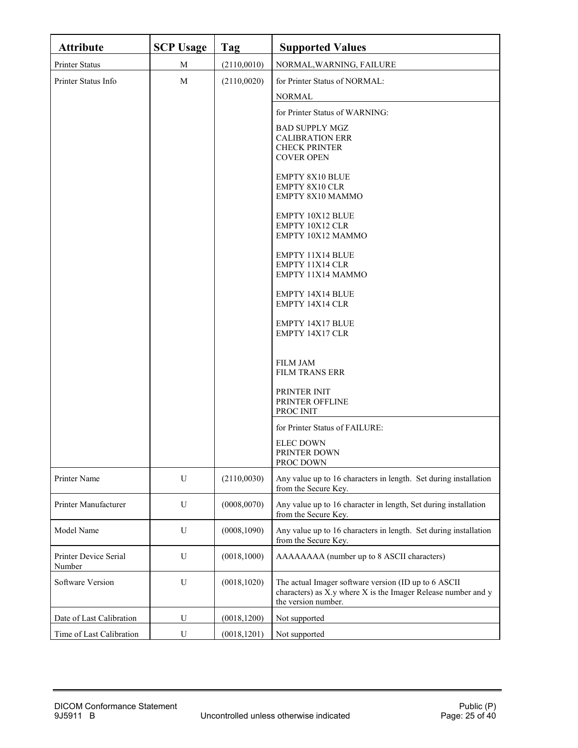| <b>Attribute</b>                | <b>SCP Usage</b> | Tag          | <b>Supported Values</b>                                                                                                                      |
|---------------------------------|------------------|--------------|----------------------------------------------------------------------------------------------------------------------------------------------|
| Printer Status                  | M                | (2110,0010)  | NORMAL, WARNING, FAILURE                                                                                                                     |
| Printer Status Info             | M                | (2110,0020)  | for Printer Status of NORMAL:                                                                                                                |
|                                 |                  |              | <b>NORMAL</b>                                                                                                                                |
|                                 |                  |              | for Printer Status of WARNING:                                                                                                               |
|                                 |                  |              | <b>BAD SUPPLY MGZ</b>                                                                                                                        |
|                                 |                  |              | <b>CALIBRATION ERR</b><br><b>CHECK PRINTER</b>                                                                                               |
|                                 |                  |              | <b>COVER OPEN</b>                                                                                                                            |
|                                 |                  |              | <b>EMPTY 8X10 BLUE</b><br>EMPTY 8X10 CLR                                                                                                     |
|                                 |                  |              | EMPTY 8X10 MAMMO                                                                                                                             |
|                                 |                  |              | EMPTY 10X12 BLUE                                                                                                                             |
|                                 |                  |              | EMPTY 10X12 CLR<br>EMPTY 10X12 MAMMO                                                                                                         |
|                                 |                  |              |                                                                                                                                              |
|                                 |                  |              | EMPTY 11X14 BLUE<br>EMPTY 11X14 CLR                                                                                                          |
|                                 |                  |              | EMPTY 11X14 MAMMO                                                                                                                            |
|                                 |                  |              | <b>EMPTY 14X14 BLUE</b>                                                                                                                      |
|                                 |                  |              | EMPTY 14X14 CLR                                                                                                                              |
|                                 |                  |              | <b>EMPTY 14X17 BLUE</b><br>EMPTY 14X17 CLR                                                                                                   |
|                                 |                  |              |                                                                                                                                              |
|                                 |                  |              | <b>FILM JAM</b>                                                                                                                              |
|                                 |                  |              | <b>FILM TRANS ERR</b>                                                                                                                        |
|                                 |                  |              | PRINTER INIT<br>PRINTER OFFLINE                                                                                                              |
|                                 |                  |              | PROC INIT                                                                                                                                    |
|                                 |                  |              | for Printer Status of FAILURE:                                                                                                               |
|                                 |                  |              | <b>ELEC DOWN</b>                                                                                                                             |
|                                 |                  |              | PRINTER DOWN<br>PROC DOWN                                                                                                                    |
| Printer Name                    | U                | (2110,0030)  | Any value up to 16 characters in length. Set during installation<br>from the Secure Key.                                                     |
| Printer Manufacturer            | $\mathbf U$      | (0008, 0070) | Any value up to 16 character in length, Set during installation<br>from the Secure Key.                                                      |
| Model Name                      | U                | (0008, 1090) | Any value up to 16 characters in length. Set during installation<br>from the Secure Key.                                                     |
| Printer Device Serial<br>Number | U                | (0018, 1000) | AAAAAAAA (number up to 8 ASCII characters)                                                                                                   |
| Software Version                | U                | (0018, 1020) | The actual Imager software version (ID up to 6 ASCII<br>characters) as X.y where X is the Imager Release number and y<br>the version number. |
| Date of Last Calibration        | U                | (0018, 1200) | Not supported                                                                                                                                |
| Time of Last Calibration        | U                | (0018, 1201) | Not supported                                                                                                                                |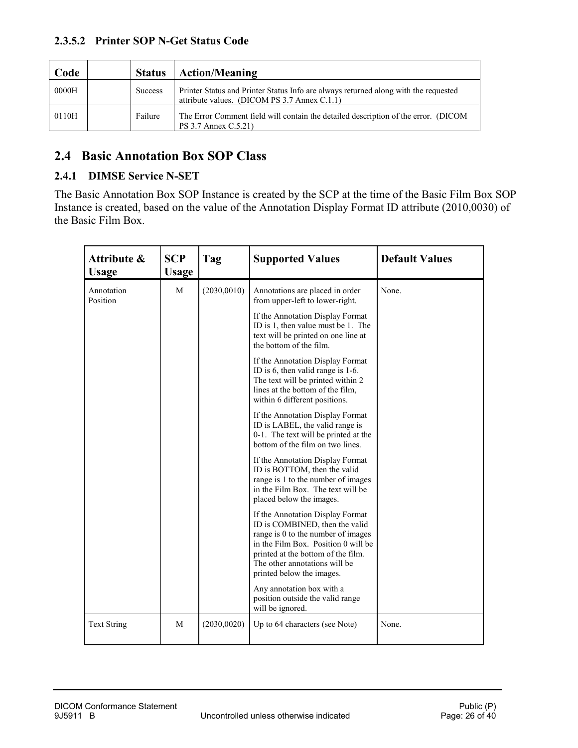| Code  | <b>Status</b>  | <b>Action/Meaning</b>                                                                                                               |
|-------|----------------|-------------------------------------------------------------------------------------------------------------------------------------|
| 0000H | <b>Success</b> | Printer Status and Printer Status Info are always returned along with the requested<br>attribute values. (DICOM PS 3.7 Annex C.1.1) |
| 0110H | Failure        | The Error Comment field will contain the detailed description of the error. (DICOM<br>PS 3.7 Annex C.5.21)                          |

### <span id="page-25-0"></span>**2.4 Basic Annotation Box SOP Class**

#### <span id="page-25-1"></span>**2.4.1 DIMSE Service N-SET**

The Basic Annotation Box SOP Instance is created by the SCP at the time of the Basic Film Box SOP Instance is created, based on the value of the Annotation Display Format ID attribute (2010,0030) of the Basic Film Box.

| Attribute &<br><b>Usage</b> | <b>SCP</b><br>Usage | Tag          | <b>Supported Values</b>                                                                                                                                                                                                                             | <b>Default Values</b> |
|-----------------------------|---------------------|--------------|-----------------------------------------------------------------------------------------------------------------------------------------------------------------------------------------------------------------------------------------------------|-----------------------|
| Annotation<br>Position      | M                   | (2030, 0010) | Annotations are placed in order<br>from upper-left to lower-right.                                                                                                                                                                                  | None.                 |
|                             |                     |              | If the Annotation Display Format<br>ID is 1, then value must be 1. The<br>text will be printed on one line at<br>the bottom of the film.                                                                                                            |                       |
|                             |                     |              | If the Annotation Display Format<br>ID is 6, then valid range is 1-6.<br>The text will be printed within 2<br>lines at the bottom of the film,<br>within 6 different positions.                                                                     |                       |
|                             |                     |              | If the Annotation Display Format<br>ID is LABEL, the valid range is<br>0-1. The text will be printed at the<br>bottom of the film on two lines.                                                                                                     |                       |
|                             |                     |              | If the Annotation Display Format<br>ID is BOTTOM, then the valid<br>range is 1 to the number of images<br>in the Film Box. The text will be<br>placed below the images.                                                                             |                       |
|                             |                     |              | If the Annotation Display Format<br>ID is COMBINED, then the valid<br>range is 0 to the number of images<br>in the Film Box. Position 0 will be<br>printed at the bottom of the film.<br>The other annotations will be<br>printed below the images. |                       |
|                             |                     |              | Any annotation box with a<br>position outside the valid range<br>will be ignored.                                                                                                                                                                   |                       |
| <b>Text String</b>          | M                   | (2030,0020)  | Up to 64 characters (see Note)                                                                                                                                                                                                                      | None.                 |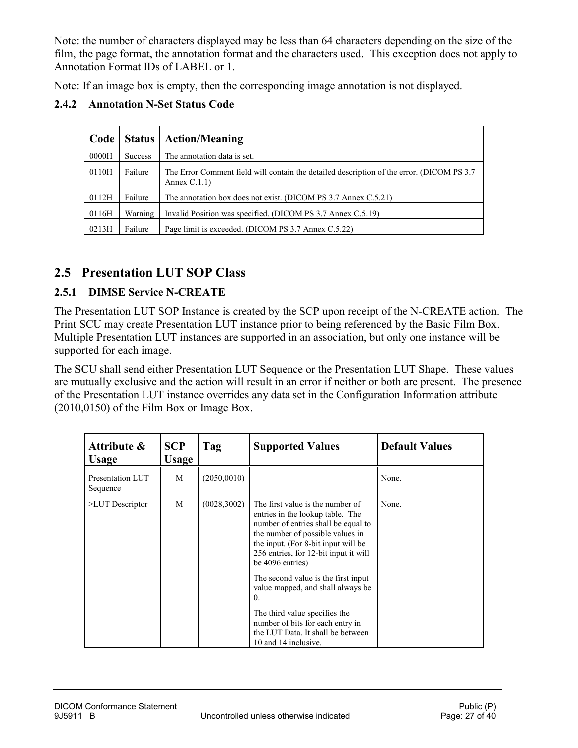Note: the number of characters displayed may be less than 64 characters depending on the size of the film, the page format, the annotation format and the characters used. This exception does not apply to Annotation Format IDs of LABEL or 1.

Note: If an image box is empty, then the corresponding image annotation is not displayed.

<span id="page-26-0"></span>

|  | <b>2.4.2</b> Annotation N-Set Status Code |  |  |  |  |
|--|-------------------------------------------|--|--|--|--|
|--|-------------------------------------------|--|--|--|--|

| Code  | <b>Status</b>  | <b>Action/Meaning</b>                                                                                         |
|-------|----------------|---------------------------------------------------------------------------------------------------------------|
| 0000H | <b>Success</b> | The annotation data is set.                                                                                   |
| 0110H | Failure        | The Error Comment field will contain the detailed description of the error. (DICOM PS 3.7)<br>Annex $C.1.1$ ) |
| 0112H | Failure        | The annotation box does not exist. (DICOM PS 3.7 Annex C.5.21)                                                |
| 0116H | Warning        | Invalid Position was specified. (DICOM PS 3.7 Annex C.5.19)                                                   |
| 0213H | Failure        | Page limit is exceeded. (DICOM PS 3.7 Annex C.5.22)                                                           |

### <span id="page-26-1"></span>**2.5 Presentation LUT SOP Class**

#### <span id="page-26-2"></span>**2.5.1 DIMSE Service N-CREATE**

The Presentation LUT SOP Instance is created by the SCP upon receipt of the N-CREATE action. The Print SCU may create Presentation LUT instance prior to being referenced by the Basic Film Box. Multiple Presentation LUT instances are supported in an association, but only one instance will be supported for each image.

The SCU shall send either Presentation LUT Sequence or the Presentation LUT Shape. These values are mutually exclusive and the action will result in an error if neither or both are present. The presence of the Presentation LUT instance overrides any data set in the Configuration Information attribute (2010,0150) of the Film Box or Image Box.

| Attribute &<br><b>Usage</b>  | <b>SCP</b><br><b>Usage</b> | Tag          | <b>Supported Values</b>                                                                                                                                                                                                                                                                                                                                                                                                                                                 | <b>Default Values</b> |
|------------------------------|----------------------------|--------------|-------------------------------------------------------------------------------------------------------------------------------------------------------------------------------------------------------------------------------------------------------------------------------------------------------------------------------------------------------------------------------------------------------------------------------------------------------------------------|-----------------------|
| Presentation LUT<br>Sequence | M                          | (2050,0010)  |                                                                                                                                                                                                                                                                                                                                                                                                                                                                         | None.                 |
| >LUT Descriptor              | M                          | (0028, 3002) | The first value is the number of<br>entries in the lookup table. The<br>number of entries shall be equal to<br>the number of possible values in<br>the input. (For 8-bit input will be<br>256 entries, for 12-bit input it will<br>be 4096 entries)<br>The second value is the first input<br>value mapped, and shall always be<br>0.<br>The third value specifies the<br>number of bits for each entry in<br>the LUT Data. It shall be between<br>10 and 14 inclusive. | None.                 |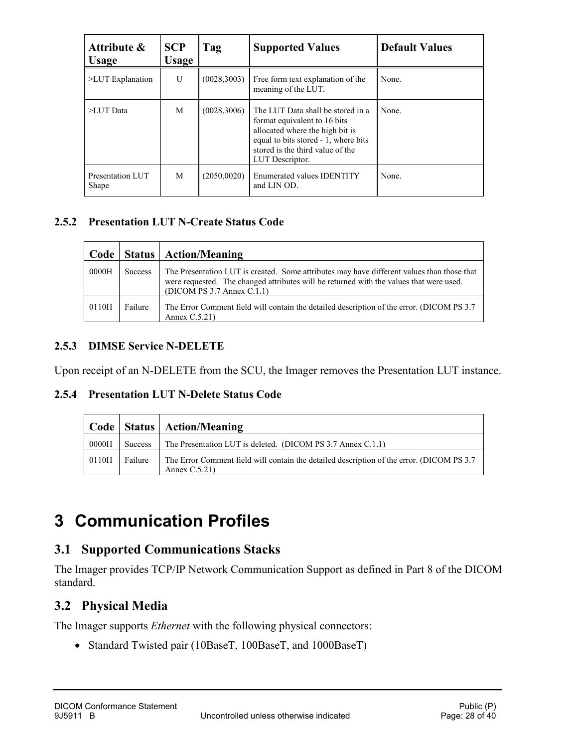<span id="page-27-6"></span>

| Attribute &<br><b>Usage</b> | <b>SCP</b><br><b>Usage</b> | Tag          | <b>Supported Values</b>                                                                                                                                                                             | <b>Default Values</b> |
|-----------------------------|----------------------------|--------------|-----------------------------------------------------------------------------------------------------------------------------------------------------------------------------------------------------|-----------------------|
| $>$ LUT Explanation         | U                          | (0028, 3003) | Free form text explanation of the<br>meaning of the LUT.                                                                                                                                            | None.                 |
| >LUT Data                   | M                          | (0028, 3006) | The LUT Data shall be stored in a<br>format equivalent to 16 bits<br>allocated where the high bit is<br>equal to bits stored - 1, where bits<br>stored is the third value of the<br>LUT Descriptor. | None.                 |
| Presentation LUT<br>Shape   | М                          | (2050,0020)  | <b>Enumerated values IDENTITY</b><br>and LIN OD.                                                                                                                                                    | None.                 |

#### <span id="page-27-0"></span>**2.5.2 Presentation LUT N-Create Status Code**

| Code  |         | <b>Status   Action/Meaning</b>                                                                                                                                                                                           |
|-------|---------|--------------------------------------------------------------------------------------------------------------------------------------------------------------------------------------------------------------------------|
| 0000H | Success | The Presentation LUT is created. Some attributes may have different values than those that<br>were requested. The changed attributes will be returned with the values that were used.<br>$(DICOM PS 3.7$ Annex $C.1.1$ ) |
| 0110H | Failure | The Error Comment field will contain the detailed description of the error. (DICOM PS 3.7)<br>Annex $C.5.21$ )                                                                                                           |

#### <span id="page-27-1"></span>**2.5.3 DIMSE Service N-DELETE**

Upon receipt of an N-DELETE from the SCU, the Imager removes the Presentation LUT instance.

#### <span id="page-27-2"></span>**2.5.4 Presentation LUT N-Delete Status Code**

|       |                | Code   Status   Action/Meaning                                                                               |
|-------|----------------|--------------------------------------------------------------------------------------------------------------|
| 0000H | <b>Success</b> | The Presentation LUT is deleted. (DICOM PS 3.7 Annex C.1.1)                                                  |
| 0110H | Failure        | The Error Comment field will contain the detailed description of the error. (DICOM PS 3.7)<br>Annex $C.5.21$ |

## <span id="page-27-3"></span>**3 Communication Profiles**

## <span id="page-27-4"></span>**3.1 Supported Communications Stacks**

The Imager provides TCP/IP Network Communication Support as defined in Part 8 of the DICOM standard.

## <span id="page-27-5"></span>**3.2 Physical Media**

The Imager supports *Ethernet* with the following physical connectors:

• Standard Twisted pair (10BaseT, 100BaseT, and 1000BaseT)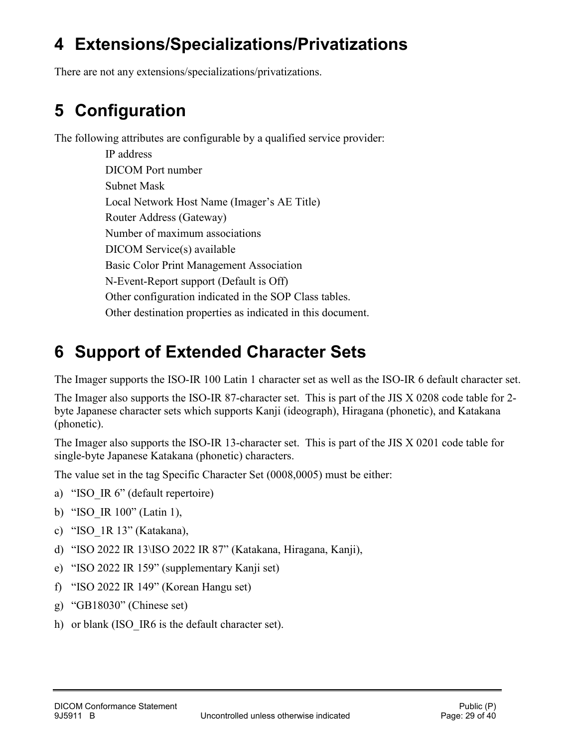## <span id="page-28-2"></span>**4 Extensions/Specializations/Privatizations**

<span id="page-28-0"></span>There are not any extensions/specializations/privatizations.

## **5 Configuration**

The following attributes are configurable by a qualified service provider:

IP address DICOM Port number Subnet Mask Local Network Host Name (Imager's AE Title) Router Address (Gateway) Number of maximum associations DICOM Service(s) available Basic Color Print Management Association N-Event-Report support (Default is Off) Other configuration indicated in the SOP Class tables. Other destination properties as indicated in this document.

## <span id="page-28-1"></span>**6 Support of Extended Character Sets**

The Imager supports the ISO-IR 100 Latin 1 character set as well as the ISO-IR 6 default character set.

The Imager also supports the ISO-IR 87-character set. This is part of the JIS X 0208 code table for 2 byte Japanese character sets which supports Kanji (ideograph), Hiragana (phonetic), and Katakana (phonetic).

The Imager also supports the ISO-IR 13-character set. This is part of the JIS X 0201 code table for single-byte Japanese Katakana (phonetic) characters.

The value set in the tag Specific Character Set (0008,0005) must be either:

- a) "ISO IR 6" (default repertoire)
- b) "ISO\_IR 100" (Latin 1),
- c) "ISO\_1R 13" (Katakana),
- d) "ISO 2022 IR 13\ISO 2022 IR 87" (Katakana, Hiragana, Kanji),
- e) "ISO 2022 IR 159" (supplementary Kanji set)
- f) "ISO 2022 IR 149" (Korean Hangu set)
- g) "GB18030" (Chinese set)
- h) or blank (ISO IR6 is the default character set).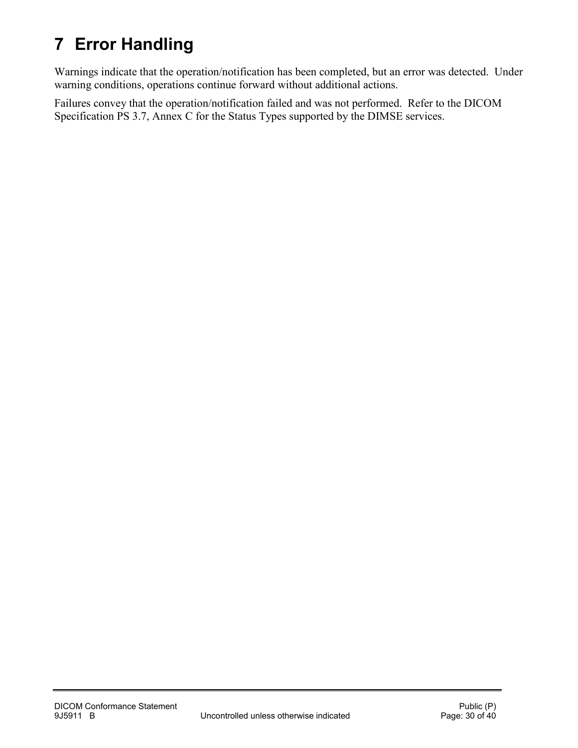## **7 Error Handling**

Warnings indicate that the operation/notification has been completed, but an error was detected. Under warning conditions, operations continue forward without additional actions.

Failures convey that the operation/notification failed and was not performed. Refer to the DICOM Specification PS 3.7, Annex C for the Status Types supported by the DIMSE services.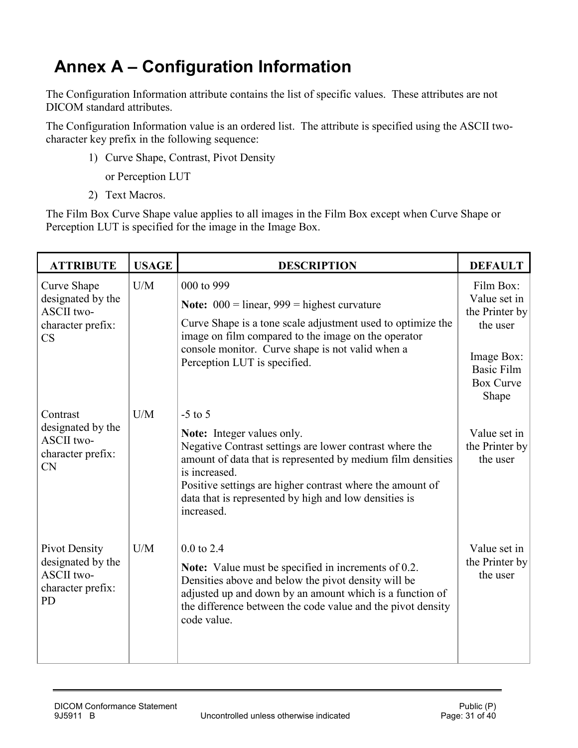## <span id="page-30-0"></span>**Annex A – Configuration Information**

The Configuration Information attribute contains the list of specific values. These attributes are not DICOM standard attributes.

The Configuration Information value is an ordered list. The attribute is specified using the ASCII twocharacter key prefix in the following sequence:

1) Curve Shape, Contrast, Pivot Density

or Perception LUT

2) Text Macros.

The Film Box Curve Shape value applies to all images in the Film Box except when Curve Shape or Perception LUT is specified for the image in the Image Box.

| <b>ATTRIBUTE</b>                                                                          | <b>USAGE</b> | <b>DESCRIPTION</b>                                                                                                                                                                                                                                                                                                     | <b>DEFAULT</b>                                                                                                          |
|-------------------------------------------------------------------------------------------|--------------|------------------------------------------------------------------------------------------------------------------------------------------------------------------------------------------------------------------------------------------------------------------------------------------------------------------------|-------------------------------------------------------------------------------------------------------------------------|
| Curve Shape<br>designated by the<br>ASCII two-<br>character prefix:<br>CS                 | U/M          | 000 to 999<br><b>Note:</b> $000 =$ linear, $999 =$ highest curvature<br>Curve Shape is a tone scale adjustment used to optimize the<br>image on film compared to the image on the operator<br>console monitor. Curve shape is not valid when a<br>Perception LUT is specified.                                         | Film Box:<br>Value set in<br>the Printer by<br>the user<br>Image Box:<br><b>Basic Film</b><br><b>Box Curve</b><br>Shape |
| Contrast<br>designated by the<br><b>ASCII</b> two-<br>character prefix:<br><b>CN</b>      | U/M          | $-5$ to 5<br>Note: Integer values only.<br>Negative Contrast settings are lower contrast where the<br>amount of data that is represented by medium film densities<br>is increased.<br>Positive settings are higher contrast where the amount of<br>data that is represented by high and low densities is<br>increased. | Value set in<br>the Printer by<br>the user                                                                              |
| Pivot Density<br>designated by the<br><b>ASCII</b> two-<br>character prefix:<br><b>PD</b> | U/M          | $0.0$ to 2.4<br>Note: Value must be specified in increments of 0.2.<br>Densities above and below the pivot density will be<br>adjusted up and down by an amount which is a function of<br>the difference between the code value and the pivot density<br>code value.                                                   | Value set in<br>the Printer by<br>the user                                                                              |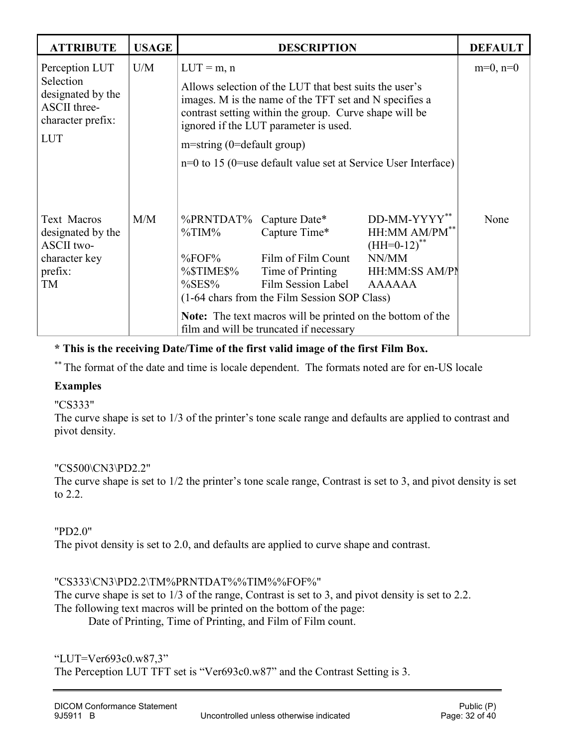| <b>ATTRIBUTE</b>                                                                                           | <b>USAGE</b> |                                                                                                                                                                                                                                                                                                                                         | <b>DESCRIPTION</b>                                                                                                                                                                                                                                             |                                                                                               | <b>DEFAULT</b> |
|------------------------------------------------------------------------------------------------------------|--------------|-----------------------------------------------------------------------------------------------------------------------------------------------------------------------------------------------------------------------------------------------------------------------------------------------------------------------------------------|----------------------------------------------------------------------------------------------------------------------------------------------------------------------------------------------------------------------------------------------------------------|-----------------------------------------------------------------------------------------------|----------------|
| Perception LUT<br>Selection<br>designated by the<br><b>ASCII</b> three-<br>character prefix:<br><b>LUT</b> | U/M          | $LUT = m, n$<br>Allows selection of the LUT that best suits the user's<br>images. M is the name of the TFT set and N specifies a<br>contrast setting within the group. Curve shape will be<br>ignored if the LUT parameter is used.<br>$m$ =string (0=default group)<br>$n=0$ to 15 (0=use default value set at Service User Interface) | $m=0$ , $n=0$                                                                                                                                                                                                                                                  |                                                                                               |                |
| <b>Text Macros</b><br>designated by the<br><b>ASCII</b> two-<br>character key<br>prefix:<br>TM             | M/M          | %PRNTDAT%<br>%TIM%<br>$\%$ FOF $\%$<br>%\$TIME\$%<br>$\%$ SES%                                                                                                                                                                                                                                                                          | Capture Date*<br>Capture Time*<br>Film of Film Count<br>Time of Printing<br>Film Session Label<br>(1-64 chars from the Film Session SOP Class)<br><b>Note:</b> The text macros will be printed on the bottom of the<br>film and will be truncated if necessary | DD-MM-YYYY**<br>$HH:MM$ AM/PM**<br>$(HH=0-12)$ **<br>NN/MM<br>HH:MM:SS AM/PN<br><b>AAAAAA</b> | None           |

**\* This is the receiving Date/Time of the first valid image of the first Film Box.**

\*\* The format of the date and time is locale dependent. The formats noted are for en-US locale

#### **Examples**

#### "CS333"

The curve shape is set to 1/3 of the printer's tone scale range and defaults are applied to contrast and pivot density.

#### "CS500\CN3\PD2.2"

The curve shape is set to 1/2 the printer's tone scale range, Contrast is set to 3, and pivot density is set to 2.2.

#### "PD2.0"

The pivot density is set to 2.0, and defaults are applied to curve shape and contrast.

#### "CS333\CN3\PD2.2\TM%PRNTDAT%%TIM%%FOF%"

The curve shape is set to 1/3 of the range, Contrast is set to 3, and pivot density is set to 2.2. The following text macros will be printed on the bottom of the page:

Date of Printing, Time of Printing, and Film of Film count.

"LUT=Ver693c0.w87,3" The Perception LUT TFT set is "Ver693c0.w87" and the Contrast Setting is 3.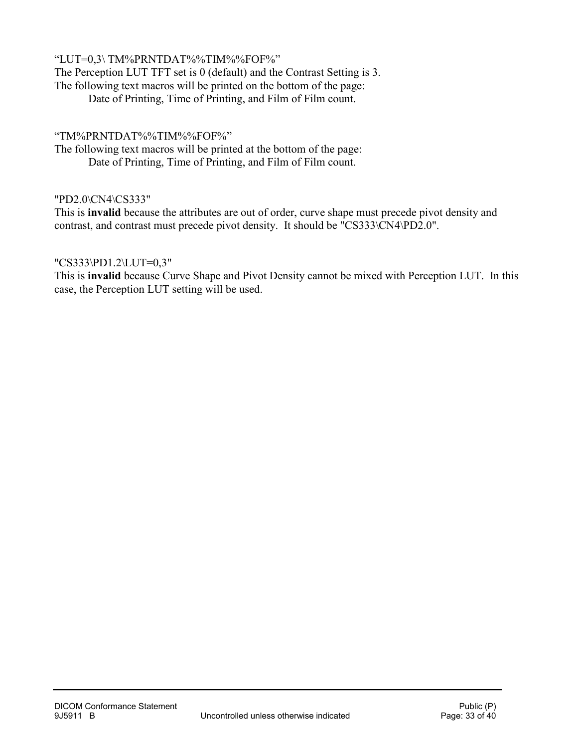#### "LUT=0,3\ TM%PRNTDAT%%TIM%%FOF%"

The Perception LUT TFT set is 0 (default) and the Contrast Setting is 3. The following text macros will be printed on the bottom of the page: Date of Printing, Time of Printing, and Film of Film count.

#### "TM%PRNTDAT%%TIM%%FOF%"

The following text macros will be printed at the bottom of the page: Date of Printing, Time of Printing, and Film of Film count.

#### "PD2.0\CN4\CS333"

This is **invalid** because the attributes are out of order, curve shape must precede pivot density and contrast, and contrast must precede pivot density. It should be "CS333\CN4\PD2.0".

#### "CS333\PD1.2\LUT=0,3"

This is **invalid** because Curve Shape and Pivot Density cannot be mixed with Perception LUT. In this case, the Perception LUT setting will be used.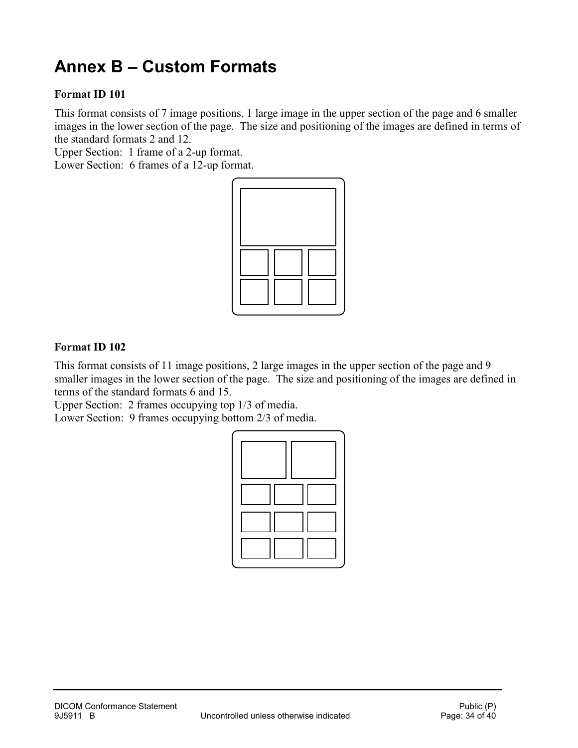## <span id="page-33-0"></span>**Annex B – Custom Formats**

#### **Format ID 101**

This format consists of 7 image positions, 1 large image in the upper section of the page and 6 smaller images in the lower section of the page. The size and positioning of the images are defined in terms of the standard formats 2 and 12.

Upper Section: 1 frame of a 2-up format.

Lower Section: 6 frames of a 12-up format.



#### **Format ID 102**

This format consists of 11 image positions, 2 large images in the upper section of the page and 9 smaller images in the lower section of the page. The size and positioning of the images are defined in terms of the standard formats 6 and 15.

Upper Section: 2 frames occupying top 1/3 of media.

Lower Section: 9 frames occupying bottom 2/3 of media.

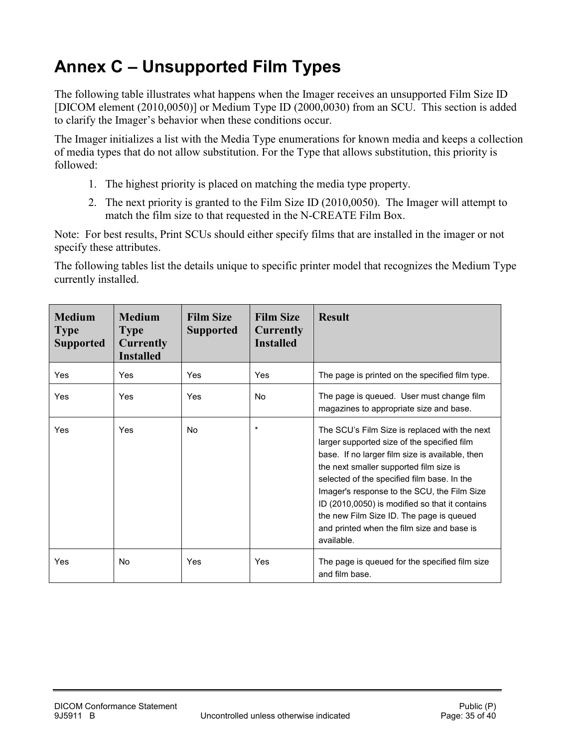## <span id="page-34-0"></span>**Annex C – Unsupported Film Types**

The following table illustrates what happens when the Imager receives an unsupported Film Size ID [DICOM element (2010,0050)] or Medium Type ID (2000,0030) from an SCU. This section is added to clarify the Imager's behavior when these conditions occur.

The Imager initializes a list with the Media Type enumerations for known media and keeps a collection of media types that do not allow substitution. For the Type that allows substitution, this priority is followed:

- 1. The highest priority is placed on matching the media type property.
- 2. The next priority is granted to the Film Size ID (2010,0050). The Imager will attempt to match the film size to that requested in the N-CREATE Film Box.

Note: For best results, Print SCUs should either specify films that are installed in the imager or not specify these attributes.

The following tables list the details unique to specific printer model that recognizes the Medium Type currently installed.

| <b>Medium</b><br><b>Type</b><br><b>Supported</b> | <b>Medium</b><br><b>Type</b><br><b>Currently</b><br><b>Installed</b> | <b>Film Size</b><br><b>Supported</b> | <b>Film Size</b><br><b>Currently</b><br><b>Installed</b> | <b>Result</b>                                                                                                                                                                                                                                                                                                                                                                                                                                      |
|--------------------------------------------------|----------------------------------------------------------------------|--------------------------------------|----------------------------------------------------------|----------------------------------------------------------------------------------------------------------------------------------------------------------------------------------------------------------------------------------------------------------------------------------------------------------------------------------------------------------------------------------------------------------------------------------------------------|
| Yes                                              | Yes                                                                  | Yes                                  | Yes                                                      | The page is printed on the specified film type.                                                                                                                                                                                                                                                                                                                                                                                                    |
| Yes                                              | Yes                                                                  | Yes                                  | <b>No</b>                                                | The page is queued. User must change film<br>magazines to appropriate size and base.                                                                                                                                                                                                                                                                                                                                                               |
| Yes                                              | Yes                                                                  | N <sub>0</sub>                       | $^\star$                                                 | The SCU's Film Size is replaced with the next<br>larger supported size of the specified film<br>base. If no larger film size is available, then<br>the next smaller supported film size is<br>selected of the specified film base. In the<br>Imager's response to the SCU, the Film Size<br>ID (2010,0050) is modified so that it contains<br>the new Film Size ID. The page is queued<br>and printed when the film size and base is<br>available. |
| Yes                                              | No                                                                   | Yes                                  | Yes                                                      | The page is queued for the specified film size<br>and film base.                                                                                                                                                                                                                                                                                                                                                                                   |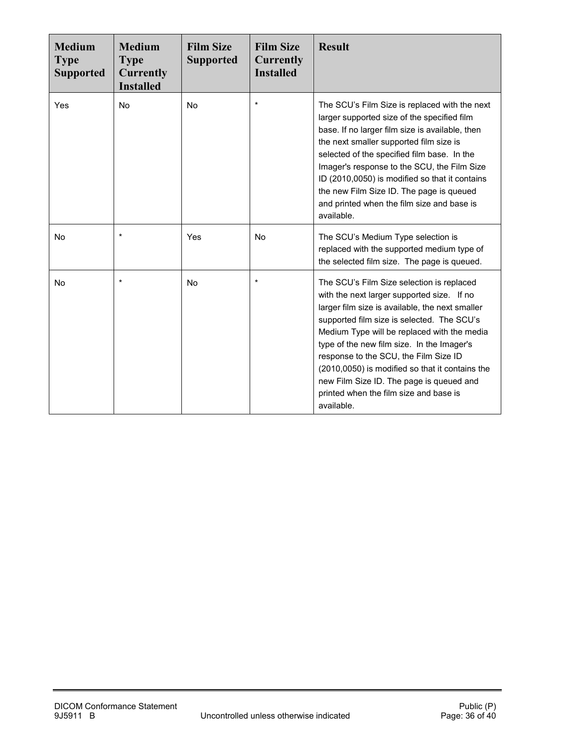| <b>Medium</b><br><b>Type</b><br><b>Supported</b> | <b>Medium</b><br><b>Type</b><br><b>Currently</b><br><b>Installed</b> | <b>Film Size</b><br><b>Supported</b> | <b>Film Size</b><br><b>Currently</b><br><b>Installed</b> | <b>Result</b>                                                                                                                                                                                                                                                                                                                                                                                                                                                                         |
|--------------------------------------------------|----------------------------------------------------------------------|--------------------------------------|----------------------------------------------------------|---------------------------------------------------------------------------------------------------------------------------------------------------------------------------------------------------------------------------------------------------------------------------------------------------------------------------------------------------------------------------------------------------------------------------------------------------------------------------------------|
| Yes                                              | <b>No</b>                                                            | <b>No</b>                            | $\star$                                                  | The SCU's Film Size is replaced with the next<br>larger supported size of the specified film<br>base. If no larger film size is available, then<br>the next smaller supported film size is<br>selected of the specified film base. In the<br>Imager's response to the SCU, the Film Size<br>ID (2010,0050) is modified so that it contains<br>the new Film Size ID. The page is queued<br>and printed when the film size and base is<br>available.                                    |
| No                                               | $\star$                                                              | Yes                                  | <b>No</b>                                                | The SCU's Medium Type selection is<br>replaced with the supported medium type of<br>the selected film size. The page is queued.                                                                                                                                                                                                                                                                                                                                                       |
| No                                               | $\star$                                                              | <b>No</b>                            | $\star$                                                  | The SCU's Film Size selection is replaced<br>with the next larger supported size. If no<br>larger film size is available, the next smaller<br>supported film size is selected. The SCU's<br>Medium Type will be replaced with the media<br>type of the new film size. In the Imager's<br>response to the SCU, the Film Size ID<br>(2010,0050) is modified so that it contains the<br>new Film Size ID. The page is queued and<br>printed when the film size and base is<br>available. |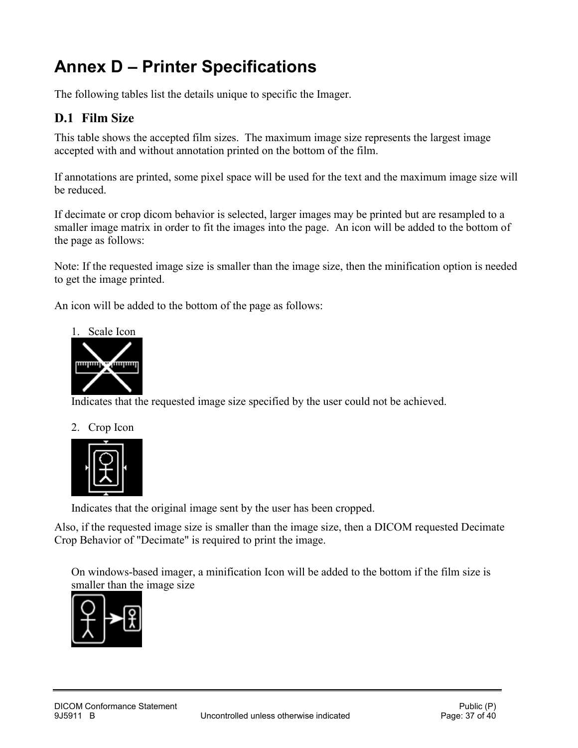## <span id="page-36-0"></span>**Annex D – Printer Specifications**

The following tables list the details unique to specific the Imager.

## <span id="page-36-1"></span>**D.1 Film Size**

This table shows the accepted film sizes. The maximum image size represents the largest image accepted with and without annotation printed on the bottom of the film.

If annotations are printed, some pixel space will be used for the text and the maximum image size will be reduced.

If decimate or crop dicom behavior is selected, larger images may be printed but are resampled to a smaller image matrix in order to fit the images into the page. An icon will be added to the bottom of the page as follows:

Note: If the requested image size is smaller than the image size, then the minification option is needed to get the image printed.

An icon will be added to the bottom of the page as follows:



Indicates that the requested image size specified by the user could not be achieved.

#### 2. Crop Icon



Indicates that the original image sent by the user has been cropped.

Also, if the requested image size is smaller than the image size, then a DICOM requested Decimate Crop Behavior of "Decimate" is required to print the image.

On windows-based imager, a minification Icon will be added to the bottom if the film size is smaller than the image size

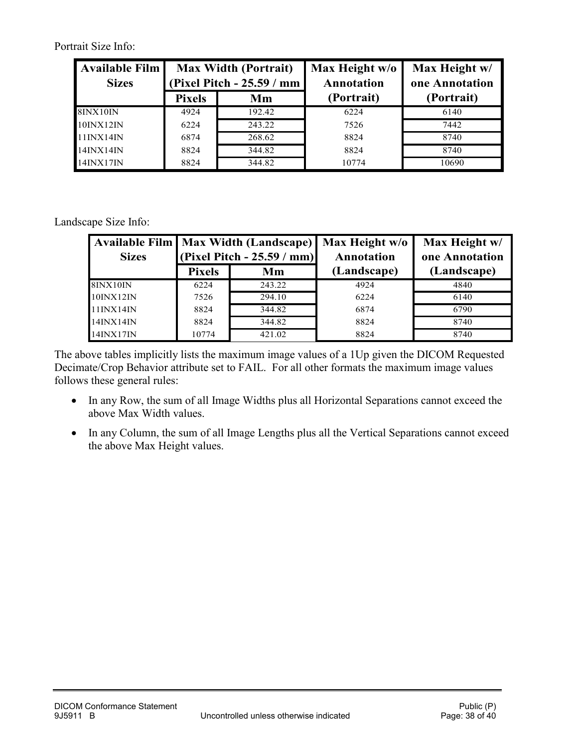Portrait Size Info:

| <b>Available Film</b><br><b>Sizes</b> | <b>Max Width (Portrait)</b><br>(Pixel Pitch - 25.59 / mm |        | Max Height w/o<br>Annotation | Max Height w/<br>one Annotation |
|---------------------------------------|----------------------------------------------------------|--------|------------------------------|---------------------------------|
|                                       | <b>Pixels</b>                                            | Mm     | (Portrait)                   | (Portrait)                      |
| 8INX10IN                              | 4924                                                     | 192.42 | 6224                         | 6140                            |
| 10INX12IN                             | 6224                                                     | 243.22 | 7526                         | 7442                            |
| 11INX14IN                             | 6874                                                     | 268.62 | 8824                         | 8740                            |
| 14INX14IN                             | 8824                                                     | 344.82 | 8824                         | 8740                            |
| 14INX17IN                             | 8824                                                     | 344.82 | 10774                        | 10690                           |

Landscape Size Info:

| <b>Sizes</b>     | Available Film   Max Width (Landscape)   Max Height w/o<br>(Pixel Pitch - $25.59 / mm$ ) |        | <b>Annotation</b> | Max Height w/<br>one Annotation |
|------------------|------------------------------------------------------------------------------------------|--------|-------------------|---------------------------------|
|                  | <b>Pixels</b>                                                                            | Mm     | (Landscape)       | (Landscape)                     |
| 8INX10IN         | 6224                                                                                     | 243.22 | 4924              | 4840                            |
| 10INX12IN        | 7526                                                                                     | 294.10 | 6224              | 6140                            |
| $11$ INX $14$ IN | 8824                                                                                     | 344.82 | 6874              | 6790                            |
| 14INX14IN        | 8824                                                                                     | 344.82 | 8824              | 8740                            |
| 14INX17IN        | 10774                                                                                    | 421.02 | 8824              | 8740                            |

The above tables implicitly lists the maximum image values of a 1Up given the DICOM Requested Decimate/Crop Behavior attribute set to FAIL. For all other formats the maximum image values follows these general rules:

- In any Row, the sum of all Image Widths plus all Horizontal Separations cannot exceed the above Max Width values.
- In any Column, the sum of all Image Lengths plus all the Vertical Separations cannot exceed the above Max Height values.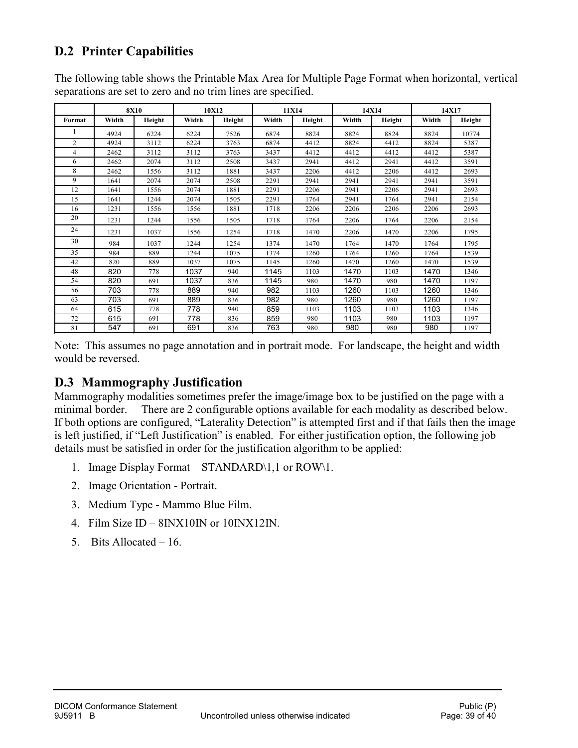## <span id="page-38-0"></span>**D.2 Printer Capabilities**

| The following table shows the Printable Max Area for Multiple Page Format when horizontal, vertical |  |
|-----------------------------------------------------------------------------------------------------|--|
| separations are set to zero and no trim lines are specified.                                        |  |

|                | <b>8X10</b> |        | 10X12 |        | 11X14 |        | 14X14 |        | 14X17 |        |
|----------------|-------------|--------|-------|--------|-------|--------|-------|--------|-------|--------|
| Format         | Width       | Height | Width | Height | Width | Height | Width | Height | Width | Height |
|                | 4924        | 6224   | 6224  | 7526   | 6874  | 8824   | 8824  | 8824   | 8824  | 10774  |
| $\overline{2}$ | 4924        | 3112   | 6224  | 3763   | 6874  | 4412   | 8824  | 4412   | 8824  | 5387   |
| 4              | 2462        | 3112   | 3112  | 3763   | 3437  | 4412   | 4412  | 4412   | 4412  | 5387   |
| 6              | 2462        | 2074   | 3112  | 2508   | 3437  | 2941   | 4412  | 2941   | 4412  | 3591   |
| 8              | 2462        | 1556   | 3112  | 1881   | 3437  | 2206   | 4412  | 2206   | 4412  | 2693   |
| 9              | 1641        | 2074   | 2074  | 2508   | 2291  | 2941   | 2941  | 2941   | 2941  | 3591   |
| 12             | 1641        | 1556   | 2074  | 1881   | 2291  | 2206   | 2941  | 2206   | 2941  | 2693   |
| 15             | 1641        | 1244   | 2074  | 1505   | 2291  | 1764   | 2941  | 1764   | 2941  | 2154   |
| 16             | 1231        | 1556   | 1556  | 1881   | 1718  | 2206   | 2206  | 2206   | 2206  | 2693   |
| 20             | 1231        | 1244   | 1556  | 1505   | 1718  | 1764   | 2206  | 1764   | 2206  | 2154   |
| 24             | 1231        | 1037   | 1556  | 1254   | 1718  | 1470   | 2206  | 1470   | 2206  | 1795   |
| 30             | 984         | 1037   | 1244  | 1254   | 1374  | 1470   | 1764  | 1470   | 1764  | 1795   |
| 35             | 984         | 889    | 1244  | 1075   | 1374  | 1260   | 1764  | 1260   | 1764  | 1539   |
| 42             | 820         | 889    | 1037  | 1075   | 1145  | 1260   | 1470  | 1260   | 1470  | 1539   |
| 48             | 820         | 778    | 1037  | 940    | 1145  | 1103   | 1470  | 1103   | 1470  | 1346   |
| 54             | 820         | 691    | 1037  | 836    | 1145  | 980    | 1470  | 980    | 1470  | 1197   |
| 56             | 703         | 778    | 889   | 940    | 982   | 1103   | 1260  | 1103   | 1260  | 1346   |
| 63             | 703         | 691    | 889   | 836    | 982   | 980    | 1260  | 980    | 1260  | 1197   |
| 64             | 615         | 778    | 778   | 940    | 859   | 1103   | 1103  | 1103   | 1103  | 1346   |
| 72             | 615         | 691    | 778   | 836    | 859   | 980    | 1103  | 980    | 1103  | 1197   |
| 81             | 547         | 691    | 691   | 836    | 763   | 980    | 980   | 980    | 980   | 1197   |

Note: This assumes no page annotation and in portrait mode. For landscape, the height and width would be reversed.

### <span id="page-38-1"></span>**D.3 Mammography Justification**

Mammography modalities sometimes prefer the image/image box to be justified on the page with a minimal border. There are 2 configurable options available for each modality as described below. If both options are configured, "Laterality Detection" is attempted first and if that fails then the image is left justified, if "Left Justification" is enabled. For either justification option, the following job details must be satisfied in order for the justification algorithm to be applied:

- 1. Image Display Format STANDARD\1,1 or ROW\1.
- 2. Image Orientation Portrait.
- 3. Medium Type Mammo Blue Film.
- 4. Film Size ID 8INX10IN or 10INX12IN.
- 5. Bits Allocated 16.